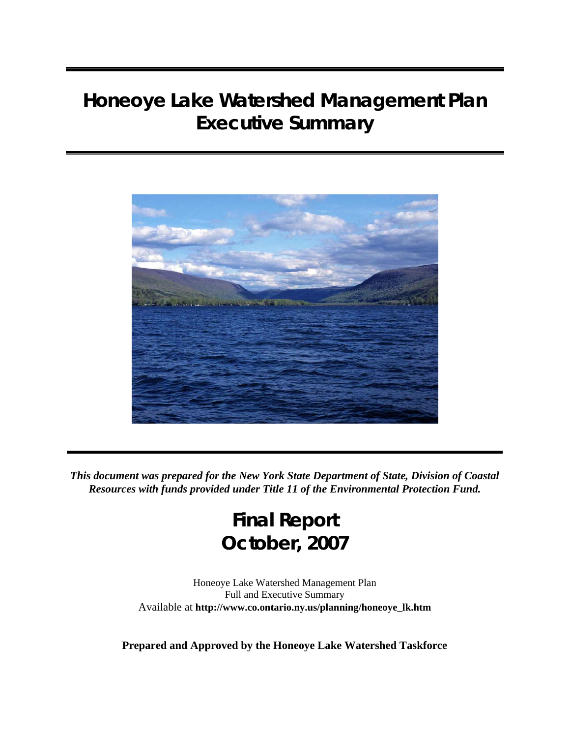

*This document was prepared for the New York State Department of State, Division of Coastal Resources with funds provided under Title 11 of the Environmental Protection Fund.*

# **Final Report October, 2007**

Honeoye Lake Watershed Management Plan Full and Executive Summary Available at **[http://www.co.ontario.ny.us/planning/honeoye\\_lk.htm](http://www.co.ontario.ny.us/planning/honeoye_lk.htm)**

**Prepared and Approved by the Honeoye Lake Watershed Taskforce**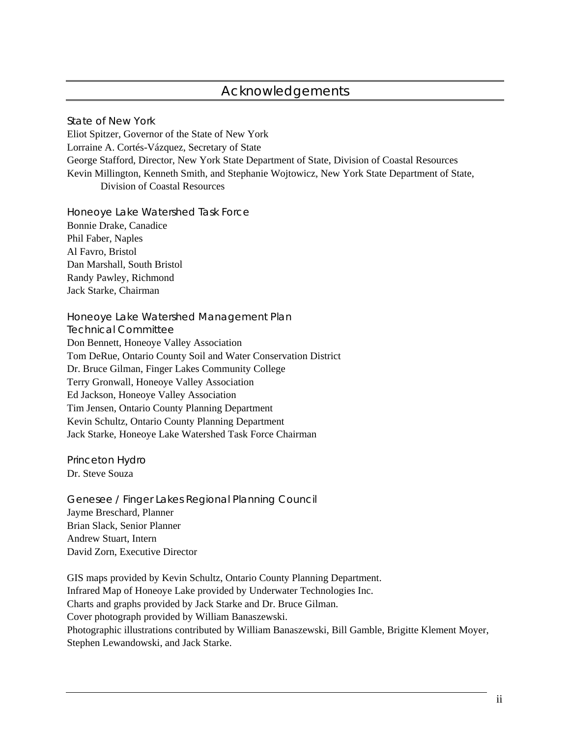# Acknowledgements

State of New York Eliot Spitzer, Governor of the State of New York Lorraine A. Cortés-Vázquez, Secretary of State George Stafford, Director, New York State Department of State, Division of Coastal Resources Kevin Millington, Kenneth Smith, and Stephanie Wojtowicz, New York State Department of State, Division of Coastal Resources

Honeoye Lake Watershed Task Force Bonnie Drake, Canadice Phil Faber, Naples Al Favro, Bristol Dan Marshall, South Bristol Randy Pawley, Richmond Jack Starke, Chairman

Honeoye Lake Watershed Management Plan Technical Committee Don Bennett, Honeoye Valley Association Tom DeRue, Ontario County Soil and Water Conservation District Dr. Bruce Gilman, Finger Lakes Community College Terry Gronwall, Honeoye Valley Association Ed Jackson, Honeoye Valley Association Tim Jensen, Ontario County Planning Department Kevin Schultz, Ontario County Planning Department Jack Starke, Honeoye Lake Watershed Task Force Chairman

Princeton Hydro Dr. Steve Souza

Genesee / Finger Lakes Regional Planning Council Jayme Breschard, Planner Brian Slack, Senior Planner Andrew Stuart, Intern David Zorn, Executive Director

GIS maps provided by Kevin Schultz, Ontario County Planning Department. Infrared Map of Honeoye Lake provided by Underwater Technologies Inc. Charts and graphs provided by Jack Starke and Dr. Bruce Gilman. Cover photograph provided by William Banaszewski. Photographic illustrations contributed by William Banaszewski, Bill Gamble, Brigitte Klement Moyer, Stephen Lewandowski, and Jack Starke.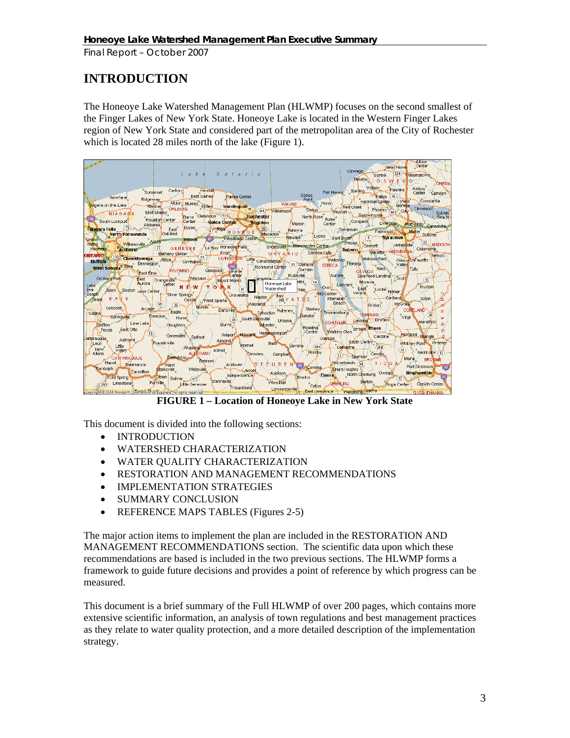# **INTRODUCTION**

The Honeoye Lake Watershed Management Plan (HLWMP) focuses on the second smallest of the Finger Lakes of New York State. Honeoye Lake is located in the Western Finger Lakes region of New York State and considered part of the metropolitan area of the City of Rochester which is located 28 miles north of the lake (Figure 1).



**FIGURE 1 – Location of Honeoye Lake in New York State** 

This document is divided into the following sections:

- INTRODUCTION
- WATERSHED CHARACTERIZATION
- WATER QUALITY CHARACTERIZATION
- RESTORATION AND MANAGEMENT RECOMMENDATIONS
- IMPLEMENTATION STRATEGIES
- SUMMARY CONCLUSION
- REFERENCE MAPS TABLES (Figures 2-5)

The major action items to implement the plan are included in the RESTORATION AND MANAGEMENT RECOMMENDATIONS section. The scientific data upon which these recommendations are based is included in the two previous sections. The HLWMP forms a framework to guide future decisions and provides a point of reference by which progress can be measured.

This document is a brief summary of the Full HLWMP of over 200 pages, which contains more extensive scientific information, an analysis of town regulations and best management practices as they relate to water quality protection, and a more detailed description of the implementation strategy.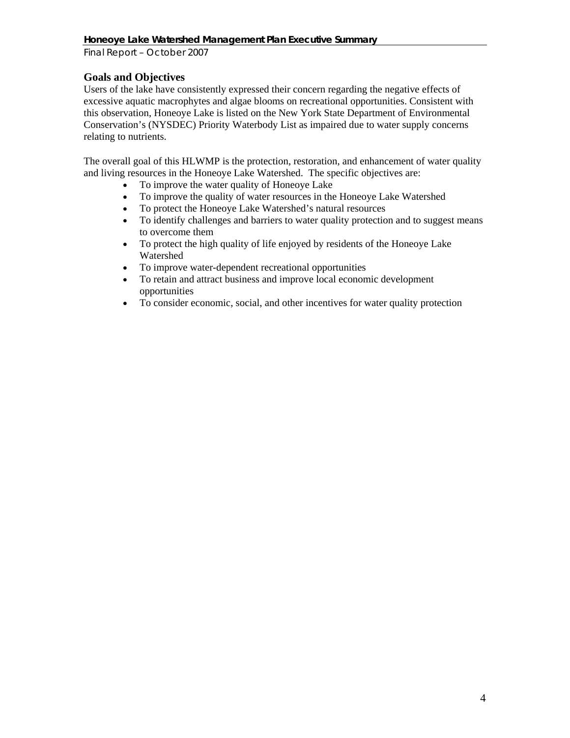*Final Report – October 2007* 

# **Goals and Objectives**

Users of the lake have consistently expressed their concern regarding the negative effects of excessive aquatic macrophytes and algae blooms on recreational opportunities. Consistent with this observation, Honeoye Lake is listed on the New York State Department of Environmental Conservation's (NYSDEC) Priority Waterbody List as impaired due to water supply concerns relating to nutrients.

The overall goal of this HLWMP is the protection, restoration, and enhancement of water quality and living resources in the Honeoye Lake Watershed. The specific objectives are:

- To improve the water quality of Honeoye Lake
- To improve the quality of water resources in the Honeoye Lake Watershed
- To protect the Honeoye Lake Watershed's natural resources
- To identify challenges and barriers to water quality protection and to suggest means to overcome them
- To protect the high quality of life enjoyed by residents of the Honeoye Lake Watershed
- To improve water-dependent recreational opportunities
- To retain and attract business and improve local economic development opportunities
- To consider economic, social, and other incentives for water quality protection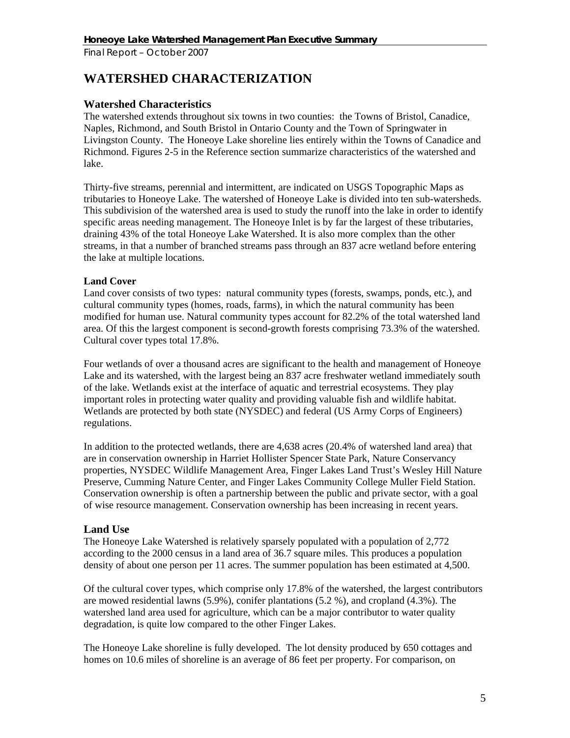# **WATERSHED CHARACTERIZATION**

# **Watershed Characteristics**

The watershed extends throughout six towns in two counties: the Towns of Bristol, Canadice, Naples, Richmond, and South Bristol in Ontario County and the Town of Springwater in Livingston County. The Honeoye Lake shoreline lies entirely within the Towns of Canadice and Richmond. Figures 2-5 in the Reference section summarize characteristics of the watershed and lake.

Thirty-five streams, perennial and intermittent, are indicated on USGS Topographic Maps as tributaries to Honeoye Lake. The watershed of Honeoye Lake is divided into ten sub-watersheds. This subdivision of the watershed area is used to study the runoff into the lake in order to identify specific areas needing management. The Honeoye Inlet is by far the largest of these tributaries, draining 43% of the total Honeoye Lake Watershed. It is also more complex than the other streams, in that a number of branched streams pass through an 837 acre wetland before entering the lake at multiple locations.

#### **Land Cover**

Land cover consists of two types: natural community types (forests, swamps, ponds, etc.), and cultural community types (homes, roads, farms), in which the natural community has been modified for human use. Natural community types account for 82.2% of the total watershed land area. Of this the largest component is second-growth forests comprising 73.3% of the watershed. Cultural cover types total 17.8%.

Four wetlands of over a thousand acres are significant to the health and management of Honeoye Lake and its watershed, with the largest being an 837 acre freshwater wetland immediately south of the lake. Wetlands exist at the interface of aquatic and terrestrial ecosystems. They play important roles in protecting water quality and providing valuable fish and wildlife habitat. Wetlands are protected by both state (NYSDEC) and federal (US Army Corps of Engineers) regulations.

In addition to the protected wetlands, there are 4,638 acres (20.4% of watershed land area) that are in conservation ownership in Harriet Hollister Spencer State Park, Nature Conservancy properties, NYSDEC Wildlife Management Area, Finger Lakes Land Trust's Wesley Hill Nature Preserve, Cumming Nature Center, and Finger Lakes Community College Muller Field Station. Conservation ownership is often a partnership between the public and private sector, with a goal of wise resource management. Conservation ownership has been increasing in recent years.

### **Land Use**

The Honeoye Lake Watershed is relatively sparsely populated with a population of 2,772 according to the 2000 census in a land area of 36.7 square miles. This produces a population density of about one person per 11 acres. The summer population has been estimated at 4,500.

Of the cultural cover types, which comprise only 17.8% of the watershed, the largest contributors are mowed residential lawns (5.9%), conifer plantations (5.2 %), and cropland (4.3%). The watershed land area used for agriculture, which can be a major contributor to water quality degradation, is quite low compared to the other Finger Lakes.

The Honeoye Lake shoreline is fully developed. The lot density produced by 650 cottages and homes on 10.6 miles of shoreline is an average of 86 feet per property. For comparison, on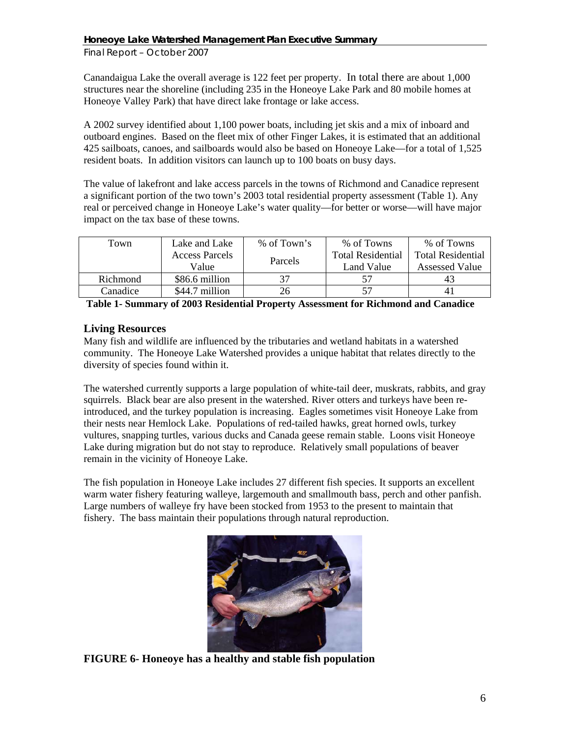Canandaigua Lake the overall average is 122 feet per property. In total there are about 1,000 structures near the shoreline (including 235 in the Honeoye Lake Park and 80 mobile homes at Honeoye Valley Park) that have direct lake frontage or lake access.

A 2002 survey identified about 1,100 power boats, including jet skis and a mix of inboard and outboard engines. Based on the fleet mix of other Finger Lakes, it is estimated that an additional 425 sailboats, canoes, and sailboards would also be based on Honeoye Lake—for a total of 1,525 resident boats. In addition visitors can launch up to 100 boats on busy days.

The value of lakefront and lake access parcels in the towns of Richmond and Canadice represent a significant portion of the two town's 2003 total residential property assessment (Table 1). Any real or perceived change in Honeoye Lake's water quality—for better or worse—will have major impact on the tax base of these towns.

| Town     | Lake and Lake         | % of Town's | % of Towns               | % of Towns               |
|----------|-----------------------|-------------|--------------------------|--------------------------|
|          | <b>Access Parcels</b> | Parcels     | <b>Total Residential</b> | <b>Total Residential</b> |
|          | Value                 |             | Land Value               | <b>Assessed Value</b>    |
| Richmond | \$86.6 million        | 37          |                          |                          |
| Canadice | $$44.7$ million       | 26          | 57                       | 41                       |

 **Table 1- Summary of 2003 Residential Property Assessment for Richmond and Canadice**

# **Living Resources**

Many fish and wildlife are influenced by the tributaries and wetland habitats in a watershed community. The Honeoye Lake Watershed provides a unique habitat that relates directly to the diversity of species found within it.

The watershed currently supports a large population of white-tail deer, muskrats, rabbits, and gray squirrels. Black bear are also present in the watershed. River otters and turkeys have been reintroduced, and the turkey population is increasing. Eagles sometimes visit Honeoye Lake from their nests near Hemlock Lake. Populations of red-tailed hawks, great horned owls, turkey vultures, snapping turtles, various ducks and Canada geese remain stable. Loons visit Honeoye Lake during migration but do not stay to reproduce. Relatively small populations of beaver remain in the vicinity of Honeoye Lake.

The fish population in Honeoye Lake includes 27 different fish species. It supports an excellent warm water fishery featuring walleye, largemouth and smallmouth bass, perch and other panfish. Large numbers of walleye fry have been stocked from 1953 to the present to maintain that fishery. The bass maintain their populations through natural reproduction.



**FIGURE 6- Honeoye has a healthy and stable fish population**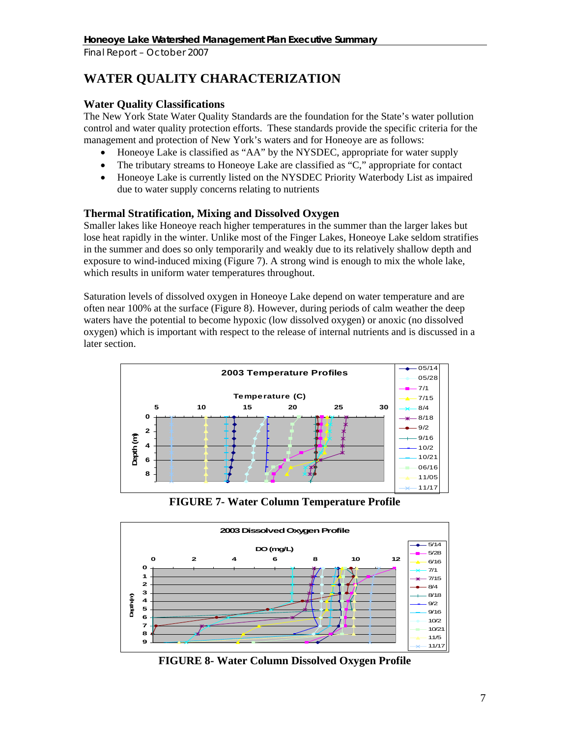# **WATER QUALITY CHARACTERIZATION**

# **Water Quality Classifications**

The New York State Water Quality Standards are the foundation for the State's water pollution control and water quality protection efforts. These standards provide the specific criteria for the management and protection of New York's waters and for Honeoye are as follows:

- Honeoye Lake is classified as "AA" by the NYSDEC, appropriate for water supply
- The tributary streams to Honeoye Lake are classified as "C," appropriate for contact
- Honeoye Lake is currently listed on the NYSDEC Priority Waterbody List as impaired due to water supply concerns relating to nutrients

# **Thermal Stratification, Mixing and Dissolved Oxygen**

Smaller lakes like Honeoye reach higher temperatures in the summer than the larger lakes but lose heat rapidly in the winter. Unlike most of the Finger Lakes, Honeoye Lake seldom stratifies in the summer and does so only temporarily and weakly due to its relatively shallow depth and exposure to wind-induced mixing (Figure 7). A strong wind is enough to mix the whole lake, which results in uniform water temperatures throughout.

Saturation levels of dissolved oxygen in Honeoye Lake depend on water temperature and are often near 100% at the surface (Figure 8). However, during periods of calm weather the deep waters have the potential to become hypoxic (low dissolved oxygen) or anoxic (no dissolved oxygen) which is important with respect to the release of internal nutrients and is discussed in a later section.



**FIGURE 7- Water Column Temperature Profile** 



**FIGURE 8- Water Column Dissolved Oxygen Profile**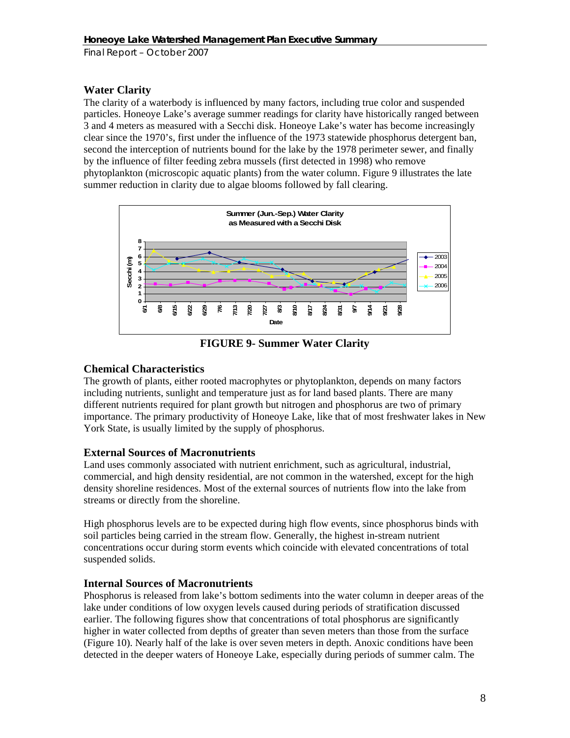# **Water Clarity**

The clarity of a waterbody is influenced by many factors, including true color and suspended particles. Honeoye Lake's average summer readings for clarity have historically ranged between 3 and 4 meters as measured with a Secchi disk. Honeoye Lake's water has become increasingly clear since the 1970's, first under the influence of the 1973 statewide phosphorus detergent ban, second the interception of nutrients bound for the lake by the 1978 perimeter sewer, and finally by the influence of filter feeding zebra mussels (first detected in 1998) who remove phytoplankton (microscopic aquatic plants) from the water column. Figure 9 illustrates the late summer reduction in clarity due to algae blooms followed by fall clearing.



**FIGURE 9- Summer Water Clarity** 

# **Chemical Characteristics**

The growth of plants, either rooted macrophytes or phytoplankton, depends on many factors including nutrients, sunlight and temperature just as for land based plants. There are many different nutrients required for plant growth but nitrogen and phosphorus are two of primary importance. The primary productivity of Honeoye Lake, like that of most freshwater lakes in New York State, is usually limited by the supply of phosphorus.

### **External Sources of Macronutrients**

Land uses commonly associated with nutrient enrichment, such as agricultural, industrial, commercial, and high density residential, are not common in the watershed, except for the high density shoreline residences. Most of the external sources of nutrients flow into the lake from streams or directly from the shoreline.

High phosphorus levels are to be expected during high flow events, since phosphorus binds with soil particles being carried in the stream flow. Generally, the highest in-stream nutrient concentrations occur during storm events which coincide with elevated concentrations of total suspended solids.

### **Internal Sources of Macronutrients**

Phosphorus is released from lake's bottom sediments into the water column in deeper areas of the lake under conditions of low oxygen levels caused during periods of stratification discussed earlier. The following figures show that concentrations of total phosphorus are significantly higher in water collected from depths of greater than seven meters than those from the surface (Figure 10). Nearly half of the lake is over seven meters in depth. Anoxic conditions have been detected in the deeper waters of Honeoye Lake, especially during periods of summer calm. The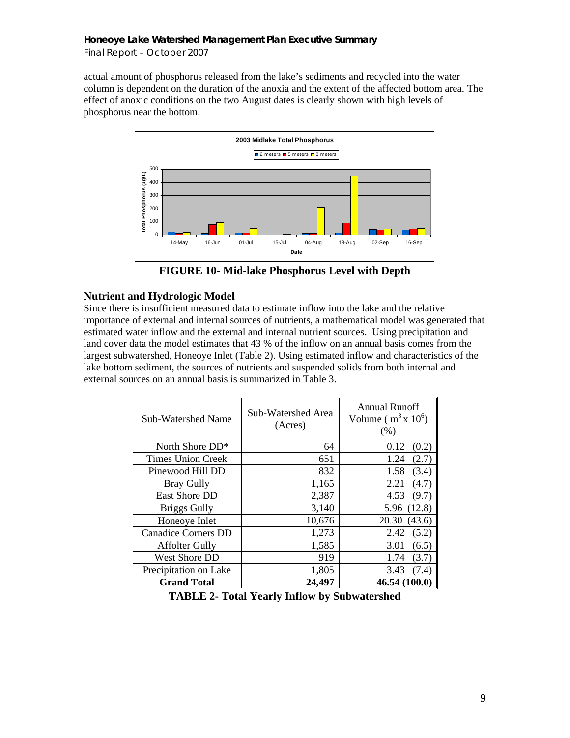actual amount of phosphorus released from the lake's sediments and recycled into the water column is dependent on the duration of the anoxia and the extent of the affected bottom area. The effect of anoxic conditions on the two August dates is clearly shown with high levels of phosphorus near the bottom.



**FIGURE 10- Mid-lake Phosphorus Level with Depth** 

# **Nutrient and Hydrologic Model**

Since there is insufficient measured data to estimate inflow into the lake and the relative importance of external and internal sources of nutrients, a mathematical model was generated that estimated water inflow and the external and internal nutrient sources. Using precipitation and land cover data the model estimates that 43 % of the inflow on an annual basis comes from the largest subwatershed, Honeoye Inlet (Table 2). Using estimated inflow and characteristics of the lake bottom sediment, the sources of nutrients and suspended solids from both internal and external sources on an annual basis is summarized in Table 3.

| Sub-Watershed Name         | Sub-Watershed Area<br>(Acres) | <b>Annual Runoff</b><br>Volume ( $m^3$ x 10 <sup>6</sup> )<br>(% ) |
|----------------------------|-------------------------------|--------------------------------------------------------------------|
| North Shore DD*            | 64                            | (0.2)<br>0.12                                                      |
| <b>Times Union Creek</b>   | 651                           | (2.7)<br>1.24                                                      |
| Pinewood Hill DD           | 832                           | 1.58<br>(3.4)                                                      |
| <b>Bray Gully</b>          | 1,165                         | 2.21<br>(4.7)                                                      |
| East Shore DD              | 2,387                         | (9.7)<br>4.53                                                      |
| <b>Briggs Gully</b>        | 3,140                         | 5.96 (12.8)                                                        |
| Honeoye Inlet              | 10,676                        | (43.6)<br>20.30                                                    |
| <b>Canadice Corners DD</b> | 1,273                         | 2.42<br>(5.2)                                                      |
| <b>Affolter Gully</b>      | 1,585                         | 3.01<br>(6.5)                                                      |
| West Shore DD              | 919                           | 1.74<br>(3.7)                                                      |
| Precipitation on Lake      | 1,805                         | 3.43<br>(7.4)                                                      |
| <b>Grand Total</b>         | 24,497                        | 46.54 (100.0)                                                      |

**TABLE 2- Total Yearly Inflow by Subwatershed**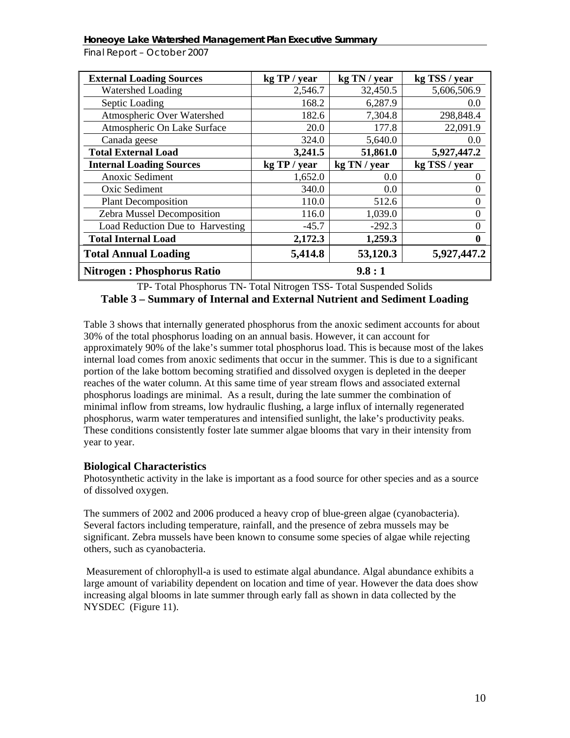*Final Report – October 2007* 

| <b>External Loading Sources</b>   | kg TP / year | kg TN / year | kg TSS / year |
|-----------------------------------|--------------|--------------|---------------|
| <b>Watershed Loading</b>          | 2,546.7      | 32,450.5     | 5,606,506.9   |
| Septic Loading                    | 168.2        | 6,287.9      | 0.0           |
| Atmospheric Over Watershed        | 182.6        | 7,304.8      | 298,848.4     |
| Atmospheric On Lake Surface       | 20.0         | 177.8        | 22,091.9      |
| Canada geese                      | 324.0        | 5,640.0      | 0.0           |
| <b>Total External Load</b>        | 3,241.5      | 51,861.0     | 5,927,447.2   |
| <b>Internal Loading Sources</b>   | kg TP / year | kg TN / year | kg TSS / year |
| Anoxic Sediment                   | 1,652.0      | 0.0          | $\theta$      |
| Oxic Sediment                     | 340.0        | 0.0          | 0             |
| <b>Plant Decomposition</b>        | 110.0        | 512.6        | $\theta$      |
| Zebra Mussel Decomposition        | 116.0        | 1,039.0      | $\theta$      |
| Load Reduction Due to Harvesting  | $-45.7$      | $-292.3$     | 0             |
| <b>Total Internal Load</b>        | 2,172.3      | 1,259.3      | 0             |
| <b>Total Annual Loading</b>       | 5,414.8      | 53,120.3     | 5,927,447.2   |
| <b>Nitrogen: Phosphorus Ratio</b> |              | 9.8:1        |               |

TP- Total Phosphorus TN- Total Nitrogen TSS- Total Suspended Solids

# **Table 3 – Summary of Internal and External Nutrient and Sediment Loading**

Table 3 shows that internally generated phosphorus from the anoxic sediment accounts for about 30% of the total phosphorus loading on an annual basis. However, it can account for approximately 90% of the lake's summer total phosphorus load. This is because most of the lakes internal load comes from anoxic sediments that occur in the summer. This is due to a significant portion of the lake bottom becoming stratified and dissolved oxygen is depleted in the deeper reaches of the water column. At this same time of year stream flows and associated external phosphorus loadings are minimal. As a result, during the late summer the combination of minimal inflow from streams, low hydraulic flushing, a large influx of internally regenerated phosphorus, warm water temperatures and intensified sunlight, the lake's productivity peaks. These conditions consistently foster late summer algae blooms that vary in their intensity from year to year.

### **Biological Characteristics**

Photosynthetic activity in the lake is important as a food source for other species and as a source of dissolved oxygen.

The summers of 2002 and 2006 produced a heavy crop of blue-green algae (cyanobacteria). Several factors including temperature, rainfall, and the presence of zebra mussels may be significant. Zebra mussels have been known to consume some species of algae while rejecting others, such as cyanobacteria.

Measurement of chlorophyll-a is used to estimate algal abundance. Algal abundance exhibits a large amount of variability dependent on location and time of year. However the data does show increasing algal blooms in late summer through early fall as shown in data collected by the NYSDEC (Figure 11).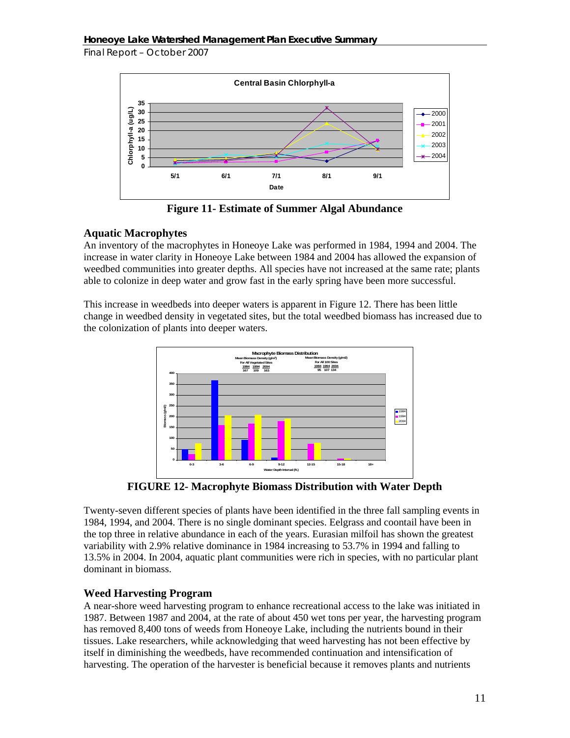

**Figure 11- Estimate of Summer Algal Abundance** 

# **Aquatic Macrophytes**

An inventory of the macrophytes in Honeoye Lake was performed in 1984, 1994 and 2004. The increase in water clarity in Honeoye Lake between 1984 and 2004 has allowed the expansion of weedbed communities into greater depths. All species have not increased at the same rate; plants able to colonize in deep water and grow fast in the early spring have been more successful.

This increase in weedbeds into deeper waters is apparent in Figure 12. There has been little change in weedbed density in vegetated sites, but the total weedbed biomass has increased due to the colonization of plants into deeper waters.



**FIGURE 12- Macrophyte Biomass Distribution with Water Depth** 

Twenty-seven different species of plants have been identified in the three fall sampling events in 1984, 1994, and 2004. There is no single dominant species. Eelgrass and coontail have been in the top three in relative abundance in each of the years. Eurasian milfoil has shown the greatest variability with 2.9% relative dominance in 1984 increasing to 53.7% in 1994 and falling to 13.5% in 2004. In 2004, aquatic plant communities were rich in species, with no particular plant dominant in biomass.

# **Weed Harvesting Program**

A near-shore weed harvesting program to enhance recreational access to the lake was initiated in 1987. Between 1987 and 2004, at the rate of about 450 wet tons per year, the harvesting program has removed 8,400 tons of weeds from Honeoye Lake, including the nutrients bound in their tissues. Lake researchers, while acknowledging that weed harvesting has not been effective by itself in diminishing the weedbeds, have recommended continuation and intensification of harvesting. The operation of the harvester is beneficial because it removes plants and nutrients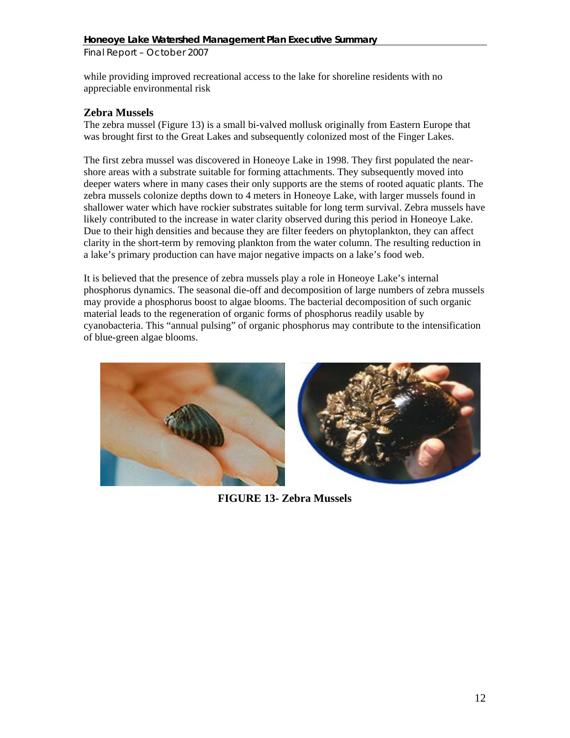while providing improved recreational access to the lake for shoreline residents with no appreciable environmental risk

### **Zebra Mussels**

The zebra mussel (Figure 13) is a small bi-valved mollusk originally from Eastern Europe that was brought first to the Great Lakes and subsequently colonized most of the Finger Lakes.

The first zebra mussel was discovered in Honeoye Lake in 1998. They first populated the nearshore areas with a substrate suitable for forming attachments. They subsequently moved into deeper waters where in many cases their only supports are the stems of rooted aquatic plants. The zebra mussels colonize depths down to 4 meters in Honeoye Lake, with larger mussels found in shallower water which have rockier substrates suitable for long term survival. Zebra mussels have likely contributed to the increase in water clarity observed during this period in Honeoye Lake. Due to their high densities and because they are filter feeders on phytoplankton, they can affect clarity in the short-term by removing plankton from the water column. The resulting reduction in a lake's primary production can have major negative impacts on a lake's food web.

It is believed that the presence of zebra mussels play a role in Honeoye Lake's internal phosphorus dynamics. The seasonal die-off and decomposition of large numbers of zebra mussels may provide a phosphorus boost to algae blooms. The bacterial decomposition of such organic material leads to the regeneration of organic forms of phosphorus readily usable by cyanobacteria. This "annual pulsing" of organic phosphorus may contribute to the intensification of blue-green algae blooms.



**FIGURE 13- Zebra Mussels**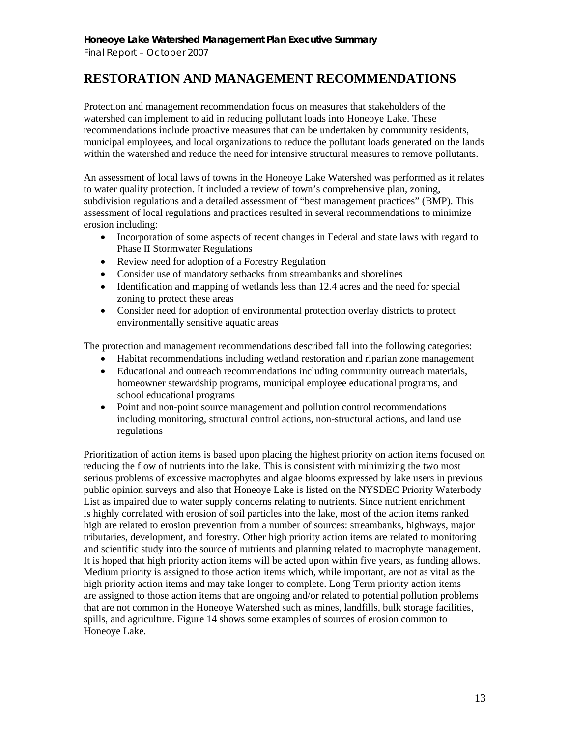# **RESTORATION AND MANAGEMENT RECOMMENDATIONS**

Protection and management recommendation focus on measures that stakeholders of the watershed can implement to aid in reducing pollutant loads into Honeoye Lake. These recommendations include proactive measures that can be undertaken by community residents, municipal employees, and local organizations to reduce the pollutant loads generated on the lands within the watershed and reduce the need for intensive structural measures to remove pollutants.

An assessment of local laws of towns in the Honeoye Lake Watershed was performed as it relates to water quality protection. It included a review of town's comprehensive plan, zoning, subdivision regulations and a detailed assessment of "best management practices" (BMP). This assessment of local regulations and practices resulted in several recommendations to minimize erosion including:

- Incorporation of some aspects of recent changes in Federal and state laws with regard to Phase II Stormwater Regulations
- Review need for adoption of a Forestry Regulation
- Consider use of mandatory setbacks from streambanks and shorelines
- Identification and mapping of wetlands less than 12.4 acres and the need for special zoning to protect these areas
- Consider need for adoption of environmental protection overlay districts to protect environmentally sensitive aquatic areas

The protection and management recommendations described fall into the following categories:

- Habitat recommendations including wetland restoration and riparian zone management
- Educational and outreach recommendations including community outreach materials, homeowner stewardship programs, municipal employee educational programs, and school educational programs
- Point and non-point source management and pollution control recommendations including monitoring, structural control actions, non-structural actions, and land use regulations

Prioritization of action items is based upon placing the highest priority on action items focused on reducing the flow of nutrients into the lake. This is consistent with minimizing the two most serious problems of excessive macrophytes and algae blooms expressed by lake users in previous public opinion surveys and also that Honeoye Lake is listed on the NYSDEC Priority Waterbody List as impaired due to water supply concerns relating to nutrients. Since nutrient enrichment is highly correlated with erosion of soil particles into the lake, most of the action items ranked high are related to erosion prevention from a number of sources: streambanks, highways, major tributaries, development, and forestry. Other high priority action items are related to monitoring and scientific study into the source of nutrients and planning related to macrophyte management. It is hoped that high priority action items will be acted upon within five years, as funding allows. Medium priority is assigned to those action items which, while important, are not as vital as the high priority action items and may take longer to complete. Long Term priority action items are assigned to those action items that are ongoing and/or related to potential pollution problems that are not common in the Honeoye Watershed such as mines, landfills, bulk storage facilities, spills, and agriculture. Figure 14 shows some examples of sources of erosion common to Honeoye Lake.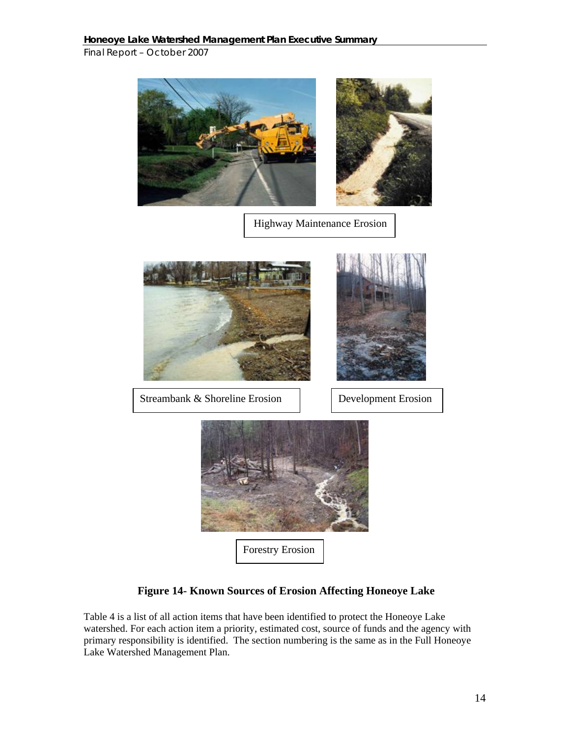*Final Report – October 2007* 





 **Figure 14- Known Sources of Erosion Affecting Honeoye Lake** 

Table 4 is a list of all action items that have been identified to protect the Honeoye Lake watershed. For each action item a priority, estimated cost, source of funds and the agency with primary responsibility is identified. The section numbering is the same as in the Full Honeoye Lake Watershed Management Plan.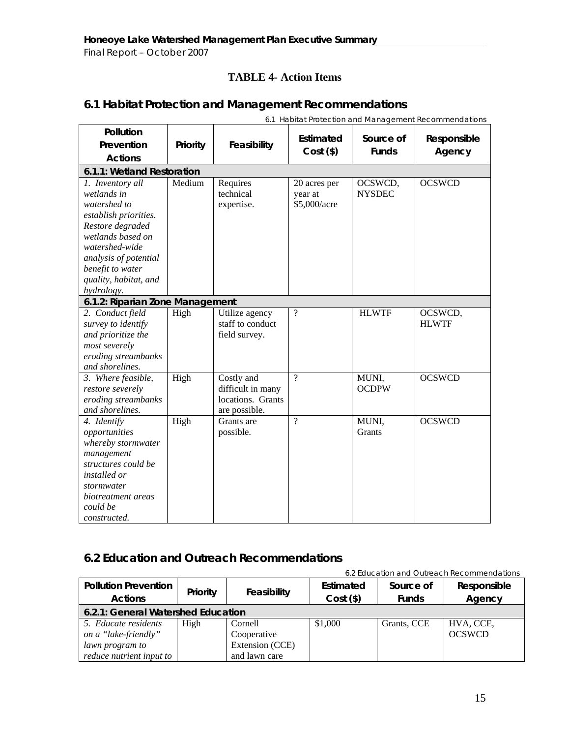# **TABLE 4- Action Items**

# **6.1 Habitat Protection and Management Recommendations**

|                                                                                                                                                                                                                         |          |                                                                       |                                         |                           | 6.1 Habitat Protection and Management Recommendations |
|-------------------------------------------------------------------------------------------------------------------------------------------------------------------------------------------------------------------------|----------|-----------------------------------------------------------------------|-----------------------------------------|---------------------------|-------------------------------------------------------|
| Pollution<br>Prevention                                                                                                                                                                                                 | Priority | Feasibility                                                           | Estimated<br>$Cost($ \$)                | Source of<br><b>Funds</b> | Responsible<br>Agency                                 |
| <b>Actions</b>                                                                                                                                                                                                          |          |                                                                       |                                         |                           |                                                       |
| 6.1.1: Wetland Restoration                                                                                                                                                                                              |          |                                                                       |                                         |                           |                                                       |
| 1. Inventory all<br>wetlands in<br>watershed to<br>establish priorities.<br>Restore degraded<br>wetlands based on<br>watershed-wide<br>analysis of potential<br>benefit to water<br>quality, habitat, and<br>hydrology. | Medium   | Requires<br>technical<br>expertise.                                   | 20 acres per<br>year at<br>\$5,000/acre | OCSWCD,<br><b>NYSDEC</b>  | <b>OCSWCD</b>                                         |
| 6.1.2: Riparian Zone Management                                                                                                                                                                                         |          |                                                                       |                                         |                           |                                                       |
| 2. Conduct field<br>survey to identify<br>and prioritize the<br>most severely<br>eroding streambanks<br>and shorelines.                                                                                                 | High     | Utilize agency<br>staff to conduct<br>field survey.                   | $\overline{\cdot}$                      | <b>HLWTF</b>              | OCSWCD,<br><b>HLWTF</b>                               |
| 3. Where feasible,<br>restore severely<br>eroding streambanks<br>and shorelines.                                                                                                                                        | High     | Costly and<br>difficult in many<br>locations. Grants<br>are possible. | $\gamma$                                | MUNI,<br><b>OCDPW</b>     | <b>OCSWCD</b>                                         |
| 4. Identify<br>opportunities<br>whereby stormwater<br>management<br>structures could be<br><i>installed or</i><br>stormwater<br>biotreatment areas<br>could be<br>constructed.                                          | High     | Grants are<br>possible.                                               | $\gamma$                                | MUNI,<br>Grants           | <b>OCSWCD</b>                                         |

# **6.2 Education and Outreach Recommendations**

|                             |                                    |                 |             |              | 6.2 Education and Outreach Recommendations |  |  |
|-----------------------------|------------------------------------|-----------------|-------------|--------------|--------------------------------------------|--|--|
| <b>Pollution Prevention</b> | Priority                           |                 | Estimated   | Source of    | Responsible                                |  |  |
| <b>Actions</b>              |                                    | Feasibility     | $Cost($ \$) | <b>Funds</b> | Agency                                     |  |  |
|                             | 6.2.1: General Watershed Education |                 |             |              |                                            |  |  |
| 5. Educate residents        | High                               | Cornell         | \$1,000     | Grants, CCE  | HVA, CCE,                                  |  |  |
| on a "lake-friendly"        |                                    | Cooperative     |             |              | <b>OCSWCD</b>                              |  |  |
| lawn program to             |                                    | Extension (CCE) |             |              |                                            |  |  |
| reduce nutrient input to    |                                    | and lawn care   |             |              |                                            |  |  |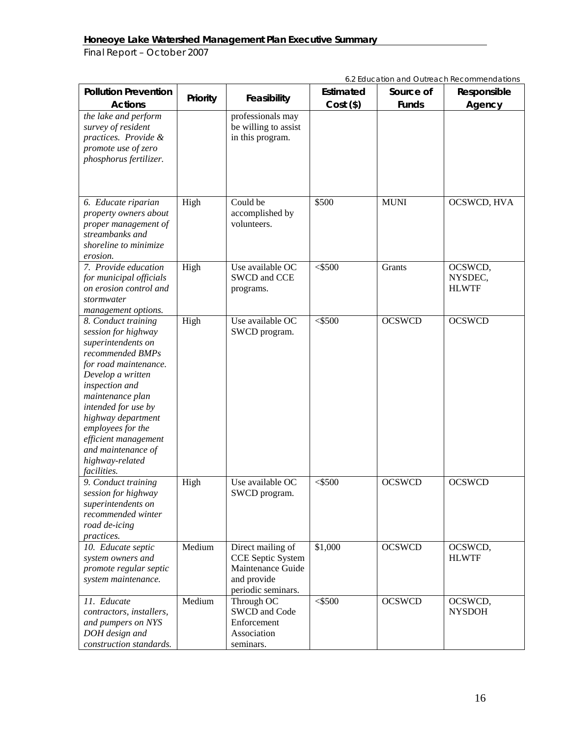|                                                                                                                                                                                                                                                                                                                            |          |                                                                                                  |             |               | 6.2 Education and Outreach Recommendations |
|----------------------------------------------------------------------------------------------------------------------------------------------------------------------------------------------------------------------------------------------------------------------------------------------------------------------------|----------|--------------------------------------------------------------------------------------------------|-------------|---------------|--------------------------------------------|
| <b>Pollution Prevention</b>                                                                                                                                                                                                                                                                                                | Priority | Feasibility                                                                                      | Estimated   | Source of     | Responsible                                |
| <b>Actions</b>                                                                                                                                                                                                                                                                                                             |          |                                                                                                  | $Cost($ \$) | <b>Funds</b>  | Agency                                     |
| the lake and perform<br>survey of resident<br>practices. Provide &<br>promote use of zero<br>phosphorus fertilizer.                                                                                                                                                                                                        |          | professionals may<br>be willing to assist<br>in this program.                                    |             |               |                                            |
| 6. Educate riparian<br>property owners about<br>proper management of<br>streambanks and<br>shoreline to minimize<br>erosion.                                                                                                                                                                                               | High     | Could be<br>accomplished by<br>volunteers.                                                       | \$500       | <b>MUNI</b>   | OCSWCD, HVA                                |
| 7. Provide education<br>for municipal officials<br>on erosion control and<br>stormwater<br>management options.                                                                                                                                                                                                             | High     | Use available OC<br>SWCD and CCE<br>programs.                                                    | $<$ \$500   | Grants        | OCSWCD,<br>NYSDEC,<br><b>HLWTF</b>         |
| 8. Conduct training<br>session for highway<br>superintendents on<br>recommended BMPs<br>for road maintenance.<br>Develop a written<br>inspection and<br>maintenance plan<br>intended for use by<br>highway department<br>employees for the<br>efficient management<br>and maintenance of<br>highway-related<br>facilities. | High     | Use available OC<br>SWCD program.                                                                | $<$ \$500   | <b>OCSWCD</b> | <b>OCSWCD</b>                              |
| 9. Conduct training<br>session for highway<br>superintendents on<br>recommended winter<br>road de-icing<br>practices.                                                                                                                                                                                                      | High     | Use available OC<br>SWCD program.                                                                | $<$ \$500   | <b>OCSWCD</b> | <b>OCSWCD</b>                              |
| 10. Educate septic<br>system owners and<br>promote regular septic<br>system maintenance.                                                                                                                                                                                                                                   | Medium   | Direct mailing of<br>CCE Septic System<br>Maintenance Guide<br>and provide<br>periodic seminars. | \$1,000     | <b>OCSWCD</b> | OCSWCD,<br><b>HLWTF</b>                    |
| 11. Educate<br>contractors, installers,<br>and pumpers on NYS<br>DOH design and<br>construction standards.                                                                                                                                                                                                                 | Medium   | Through OC<br>SWCD and Code<br>Enforcement<br>Association<br>seminars.                           | $<$ \$500   | <b>OCSWCD</b> | OCSWCD,<br><b>NYSDOH</b>                   |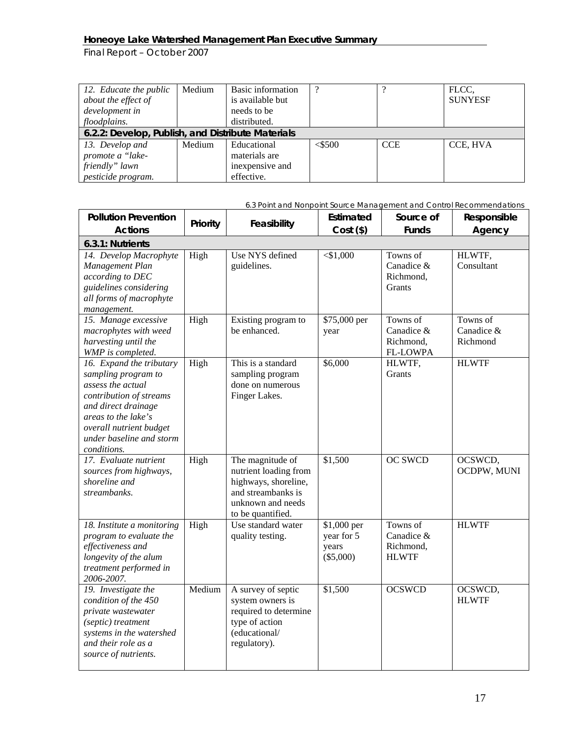*Final Report – October 2007* 

| 12. Educate the public<br>about the effect of     | Medium | Basic information<br>is available but | $\Omega$  |            | FLCC,<br><b>SUNYESF</b> |
|---------------------------------------------------|--------|---------------------------------------|-----------|------------|-------------------------|
| development in                                    |        | needs to be                           |           |            |                         |
| floodplains.                                      |        | distributed.                          |           |            |                         |
| 6.2.2: Develop, Publish, and Distribute Materials |        |                                       |           |            |                         |
| 13. Develop and                                   | Medium | Educational                           | $<$ \$500 | <b>CCE</b> | CCE, HVA                |
| promote a "lake-                                  |        | materials are                         |           |            |                         |
| friendly" lawn                                    |        | inexpensive and                       |           |            |                         |
| pesticide program.                                |        | effective.                            |           |            |                         |

| <b>Pollution Prevention</b>                                                                                                                                                                                         | Priority | Feasibility                                                                                                                       | Estimated                                       | Source of                                              | Responsible                        |
|---------------------------------------------------------------------------------------------------------------------------------------------------------------------------------------------------------------------|----------|-----------------------------------------------------------------------------------------------------------------------------------|-------------------------------------------------|--------------------------------------------------------|------------------------------------|
| <b>Actions</b>                                                                                                                                                                                                      |          |                                                                                                                                   | $Cost($ \$)                                     | <b>Funds</b>                                           | Agency                             |
| 6.3.1: Nutrients                                                                                                                                                                                                    |          |                                                                                                                                   |                                                 |                                                        |                                    |
| 14. Develop Macrophyte<br>Management Plan<br>according to DEC<br>guidelines considering<br>all forms of macrophyte<br>management.                                                                                   | High     | Use NYS defined<br>guidelines.                                                                                                    | $<$ \$1,000                                     | Towns of<br>Canadice &<br>Richmond,<br>Grants          | HLWTF,<br>Consultant               |
| 15. Manage excessive<br>macrophytes with weed<br>harvesting until the<br>WMP is completed.                                                                                                                          | High     | Existing program to<br>be enhanced.                                                                                               | \$75,000 per<br>year                            | Towns of<br>Canadice &<br>Richmond,<br><b>FL-LOWPA</b> | Towns of<br>Canadice &<br>Richmond |
| 16. Expand the tributary<br>sampling program to<br>assess the actual<br>contribution of streams<br>and direct drainage<br>areas to the lake's<br>overall nutrient budget<br>under baseline and storm<br>conditions. | High     | This is a standard<br>sampling program<br>done on numerous<br>Finger Lakes.                                                       | \$6,000                                         | HLWTF,<br>Grants                                       | <b>HLWTF</b>                       |
| 17. Evaluate nutrient<br>sources from highways,<br>shoreline and<br>streambanks.                                                                                                                                    | High     | The magnitude of<br>nutrient loading from<br>highways, shoreline,<br>and streambanks is<br>unknown and needs<br>to be quantified. | \$1,500                                         | <b>OC SWCD</b>                                         | OCSWCD,<br>OCDPW, MUNI             |
| 18. Institute a monitoring<br>program to evaluate the<br>effectiveness and<br>longevity of the alum<br>treatment performed in<br>2006-2007.                                                                         | High     | Use standard water<br>quality testing.                                                                                            | \$1,000 per<br>year for 5<br>years<br>(\$5,000) | Towns of<br>Canadice &<br>Richmond,<br><b>HLWTF</b>    | <b>HLWTF</b>                       |
| 19. Investigate the<br>condition of the 450<br>private wastewater<br>(septic) treatment<br>systems in the watershed<br>and their role as a<br>source of nutrients.                                                  | Medium   | A survey of septic<br>system owners is<br>required to determine<br>type of action<br>(educational/<br>regulatory).                | \$1,500                                         | <b>OCSWCD</b>                                          | OCSWCD,<br><b>HLWTF</b>            |

*6.3 Point and Nonpoint Source Management and Control Recommendations*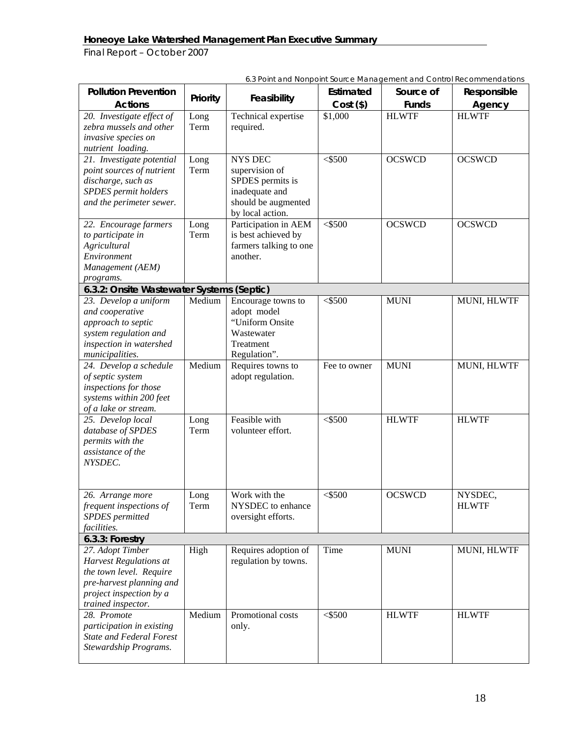| <b>Pollution Prevention</b>                            | Priority | Feasibility                        | Estimated    | Source of     | Responsible             |
|--------------------------------------------------------|----------|------------------------------------|--------------|---------------|-------------------------|
| <b>Actions</b>                                         |          |                                    | $Cost($ \$)  | <b>Funds</b>  | Agency                  |
| 20. Investigate effect of                              | Long     | Technical expertise                | \$1,000      | <b>HLWTF</b>  | <b>HLWTF</b>            |
| zebra mussels and other                                | Term     | required.                          |              |               |                         |
| invasive species on<br>nutrient loading.               |          |                                    |              |               |                         |
| 21. Investigate potential                              | Long     | <b>NYS DEC</b>                     | 5500         | <b>OCSWCD</b> | <b>OCSWCD</b>           |
| point sources of nutrient                              | Term     | supervision of                     |              |               |                         |
| discharge, such as                                     |          | SPDES permits is                   |              |               |                         |
| SPDES permit holders                                   |          | inadequate and                     |              |               |                         |
| and the perimeter sewer.                               |          | should be augmented                |              |               |                         |
|                                                        |          | by local action.                   |              |               |                         |
| 22. Encourage farmers                                  | Long     | Participation in AEM               | $<$ \$500    | <b>OCSWCD</b> | <b>OCSWCD</b>           |
| to participate in                                      | Term     | is best achieved by                |              |               |                         |
| Agricultural                                           |          | farmers talking to one<br>another. |              |               |                         |
| Environment                                            |          |                                    |              |               |                         |
| Management (AEM)                                       |          |                                    |              |               |                         |
| programs.<br>6.3.2: Onsite Wastewater Systems (Septic) |          |                                    |              |               |                         |
| 23. Develop a uniform                                  | Medium   | Encourage towns to                 | $<$ \$500    | <b>MUNI</b>   | MUNI, HLWTF             |
| and cooperative                                        |          | adopt model                        |              |               |                         |
| approach to septic                                     |          | "Uniform Onsite                    |              |               |                         |
| system regulation and                                  |          | Wastewater                         |              |               |                         |
| inspection in watershed                                |          | Treatment                          |              |               |                         |
| municipalities.                                        |          | Regulation".                       |              |               |                         |
| 24. Develop a schedule                                 | Medium   | Requires towns to                  | Fee to owner | <b>MUNI</b>   | MUNI, HLWTF             |
| of septic system                                       |          | adopt regulation.                  |              |               |                         |
| inspections for those                                  |          |                                    |              |               |                         |
| systems within 200 feet                                |          |                                    |              |               |                         |
| of a lake or stream.                                   |          |                                    |              |               |                         |
| 25. Develop local                                      | Long     | Feasible with                      | $<$ \$500    | <b>HLWTF</b>  | <b>HLWTF</b>            |
| database of SPDES                                      | Term     | volunteer effort.                  |              |               |                         |
| permits with the                                       |          |                                    |              |               |                         |
| assistance of the                                      |          |                                    |              |               |                         |
| NYSDEC.                                                |          |                                    |              |               |                         |
|                                                        |          |                                    |              |               |                         |
|                                                        |          |                                    | $<$ \$500    |               |                         |
| 26. Arrange more<br>frequent inspections of            | Long     | Work with the<br>NYSDEC to enhance |              | <b>OCSWCD</b> | NYSDEC,<br><b>HLWTF</b> |
| <b>SPDES</b> permitted                                 | Term     | oversight efforts.                 |              |               |                         |
| facilities.                                            |          |                                    |              |               |                         |
| 6.3.3: Forestry                                        |          |                                    |              |               |                         |
| 27. Adopt Timber                                       | High     | Requires adoption of               | Time         | <b>MUNI</b>   | MUNI, HLWTF             |
| <b>Harvest Regulations at</b>                          |          | regulation by towns.               |              |               |                         |
| the town level. Require                                |          |                                    |              |               |                         |
| pre-harvest planning and                               |          |                                    |              |               |                         |
| project inspection by a                                |          |                                    |              |               |                         |
| trained inspector.                                     |          |                                    |              |               |                         |
| 28. Promote                                            | Medium   | Promotional costs                  | $<$ \$500    | <b>HLWTF</b>  | <b>HLWTF</b>            |
| participation in existing                              |          | only.                              |              |               |                         |
| <b>State and Federal Forest</b>                        |          |                                    |              |               |                         |
| Stewardship Programs.                                  |          |                                    |              |               |                         |
|                                                        |          |                                    |              |               |                         |

*6.3 Point and Nonpoint Source Management and Control Recommendations*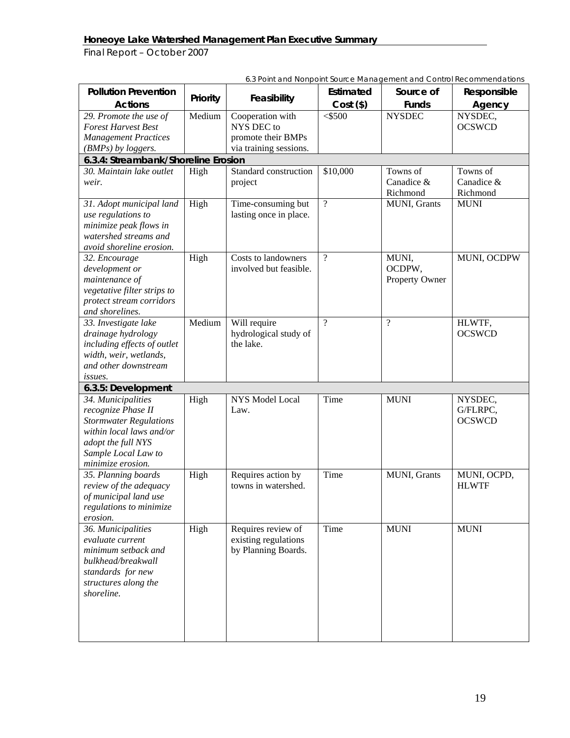| <b>Pollution Prevention</b>                             | Priority | $\sigma$ . $\sigma$ is an and increased in the case of $\sigma$ .<br>Feasibility | Estimated      | Source of      | Responsible              |
|---------------------------------------------------------|----------|----------------------------------------------------------------------------------|----------------|----------------|--------------------------|
| <b>Actions</b>                                          |          |                                                                                  | $Cost($ \$)    | <b>Funds</b>   | Agency                   |
| 29. Promote the use of<br><b>Forest Harvest Best</b>    | Medium   | Cooperation with<br>NYS DEC to                                                   | $<$ \$500      | <b>NYSDEC</b>  | NYSDEC,<br><b>OCSWCD</b> |
| <b>Management Practices</b>                             |          | promote their BMPs                                                               |                |                |                          |
| (BMPs) by loggers.                                      |          | via training sessions.                                                           |                |                |                          |
| 6.3.4: Streambank/Shoreline Erosion                     |          |                                                                                  |                |                |                          |
| 30. Maintain lake outlet                                | High     | Standard construction                                                            | \$10,000       | Towns of       | Towns of                 |
| weir.                                                   |          | project                                                                          |                | Canadice &     | Canadice &               |
|                                                         |          |                                                                                  |                | Richmond       | Richmond                 |
| 31. Adopt municipal land                                | High     | Time-consuming but                                                               | $\overline{?}$ | MUNI, Grants   | <b>MUNI</b>              |
| use regulations to                                      |          | lasting once in place.                                                           |                |                |                          |
| minimize peak flows in                                  |          |                                                                                  |                |                |                          |
| watershed streams and                                   |          |                                                                                  |                |                |                          |
| avoid shoreline erosion.                                |          |                                                                                  |                |                |                          |
| 32. Encourage                                           | High     | Costs to landowners                                                              | $\gamma$       | MUNI,          | MUNI, OCDPW              |
| development or                                          |          | involved but feasible.                                                           |                | OCDPW,         |                          |
| maintenance of                                          |          |                                                                                  |                | Property Owner |                          |
| vegetative filter strips to<br>protect stream corridors |          |                                                                                  |                |                |                          |
| and shorelines.                                         |          |                                                                                  |                |                |                          |
| 33. Investigate lake                                    | Medium   | Will require                                                                     | $\overline{?}$ | $\overline{?}$ | HLWTF,                   |
| drainage hydrology                                      |          | hydrological study of                                                            |                |                | <b>OCSWCD</b>            |
| including effects of outlet                             |          | the lake.                                                                        |                |                |                          |
| width, weir, wetlands,                                  |          |                                                                                  |                |                |                          |
| and other downstream                                    |          |                                                                                  |                |                |                          |
| issues.                                                 |          |                                                                                  |                |                |                          |
| 6.3.5: Development                                      |          |                                                                                  |                |                |                          |
| 34. Municipalities                                      | High     | NYS Model Local                                                                  | Time           | <b>MUNI</b>    | NYSDEC,                  |
| recognize Phase II                                      |          | Law.                                                                             |                |                | G/FLRPC,                 |
| <b>Stormwater Regulations</b>                           |          |                                                                                  |                |                | <b>OCSWCD</b>            |
| within local laws and/or                                |          |                                                                                  |                |                |                          |
| adopt the full NYS                                      |          |                                                                                  |                |                |                          |
| Sample Local Law to                                     |          |                                                                                  |                |                |                          |
| minimize erosion.                                       |          |                                                                                  |                |                |                          |
| 35. Planning boards                                     | High     | Requires action by                                                               | Time           | MUNI, Grants   | MUNI, OCPD,              |
| review of the adequacy                                  |          | towns in watershed.                                                              |                |                | <b>HLWTF</b>             |
| of municipal land use                                   |          |                                                                                  |                |                |                          |
| regulations to minimize                                 |          |                                                                                  |                |                |                          |
| erosion.                                                |          |                                                                                  |                |                |                          |
| 36. Municipalities                                      | High     | Requires review of                                                               | Time           | <b>MUNI</b>    | <b>MUNI</b>              |
| evaluate current                                        |          | existing regulations                                                             |                |                |                          |
| minimum setback and                                     |          | by Planning Boards.                                                              |                |                |                          |
| bulkhead/breakwall                                      |          |                                                                                  |                |                |                          |
| standards for new                                       |          |                                                                                  |                |                |                          |
| structures along the<br>shoreline.                      |          |                                                                                  |                |                |                          |
|                                                         |          |                                                                                  |                |                |                          |
|                                                         |          |                                                                                  |                |                |                          |
|                                                         |          |                                                                                  |                |                |                          |
|                                                         |          |                                                                                  |                |                |                          |

*6.3 Point and Nonpoint Source Management and Control Recommendations*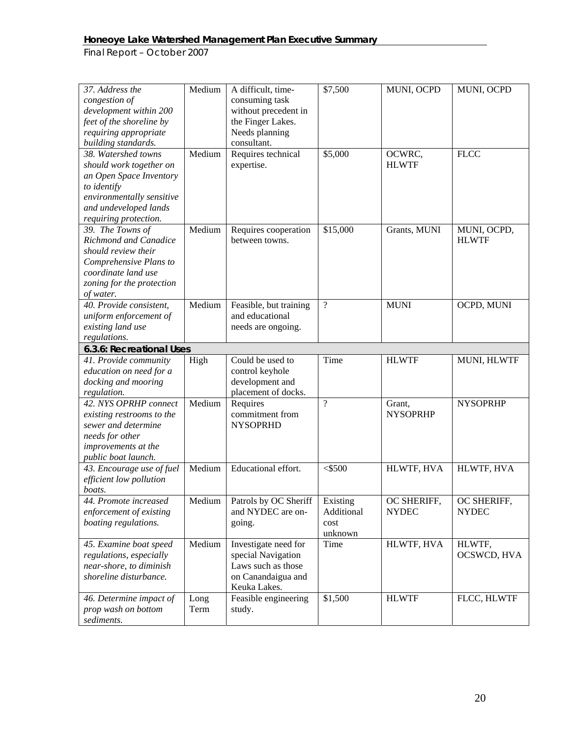| 37. Address the<br>congestion of<br>development within 200<br>feet of the shoreline by<br>requiring appropriate<br>building standards.                                  | Medium       | A difficult, time-<br>consuming task<br>without precedent in<br>the Finger Lakes.<br>Needs planning<br>consultant. | \$7,500                       | MUNI, OCPD                  | MUNI, OCPD                  |
|-------------------------------------------------------------------------------------------------------------------------------------------------------------------------|--------------|--------------------------------------------------------------------------------------------------------------------|-------------------------------|-----------------------------|-----------------------------|
| 38. Watershed towns<br>should work together on<br>an Open Space Inventory<br>to identify<br>environmentally sensitive<br>and undeveloped lands<br>requiring protection. | Medium       | Requires technical<br>expertise.                                                                                   | \$5,000                       | OCWRC,<br><b>HLWTF</b>      | <b>FLCC</b>                 |
| 39. The Towns of<br>Richmond and Canadice<br>should review their<br>Comprehensive Plans to<br>coordinate land use<br>zoning for the protection<br>of water.             | Medium       | Requires cooperation<br>between towns.                                                                             | \$15,000                      | Grants, MUNI                | MUNI, OCPD,<br><b>HLWTF</b> |
| 40. Provide consistent,<br>uniform enforcement of<br>existing land use<br>regulations.                                                                                  | Medium       | Feasible, but training<br>and educational<br>needs are ongoing.                                                    | $\overline{\mathcal{L}}$      | <b>MUNI</b>                 | OCPD, MUNI                  |
| 6.3.6: Recreational Uses                                                                                                                                                |              |                                                                                                                    |                               |                             |                             |
| 41. Provide community<br>education on need for a<br>docking and mooring<br>regulation.                                                                                  | High         | Could be used to<br>control keyhole<br>development and<br>placement of docks.                                      | Time                          | <b>HLWTF</b>                | MUNI, HLWTF                 |
| 42. NYS OPRHP connect<br>existing restrooms to the<br>sewer and determine<br>needs for other<br>improvements at the<br>public boat launch.                              | Medium       | Requires<br>commitment from<br><b>NYSOPRHD</b>                                                                     | $\gamma$                      | Grant,<br><b>NYSOPRHP</b>   | <b>NYSOPRHP</b>             |
| 43. Encourage use of fuel<br>efficient low pollution<br>boats.                                                                                                          | Medium       | Educational effort.                                                                                                | $<$ \$500                     | HLWTF, HVA                  | HLWTF, HVA                  |
| 44. Promote increased<br>enforcement of existing<br>boating regulations.                                                                                                | Medium       | Patrols by OC Sheriff   Existing<br>and NYDEC are on-<br>going.                                                    | Additional<br>cost<br>unknown | OC SHERIFF,<br><b>NYDEC</b> | OC SHERIFF,<br><b>NYDEC</b> |
| 45. Examine boat speed<br>regulations, especially<br>near-shore, to diminish<br>shoreline disturbance.                                                                  | Medium       | Investigate need for<br>special Navigation<br>Laws such as those<br>on Canandaigua and<br>Keuka Lakes.             | Time                          | HLWTF, HVA                  | HLWTF,<br>OCSWCD, HVA       |
| 46. Determine impact of<br>prop wash on bottom<br>sediments.                                                                                                            | Long<br>Term | Feasible engineering<br>study.                                                                                     | \$1,500                       | <b>HLWTF</b>                | FLCC, HLWTF                 |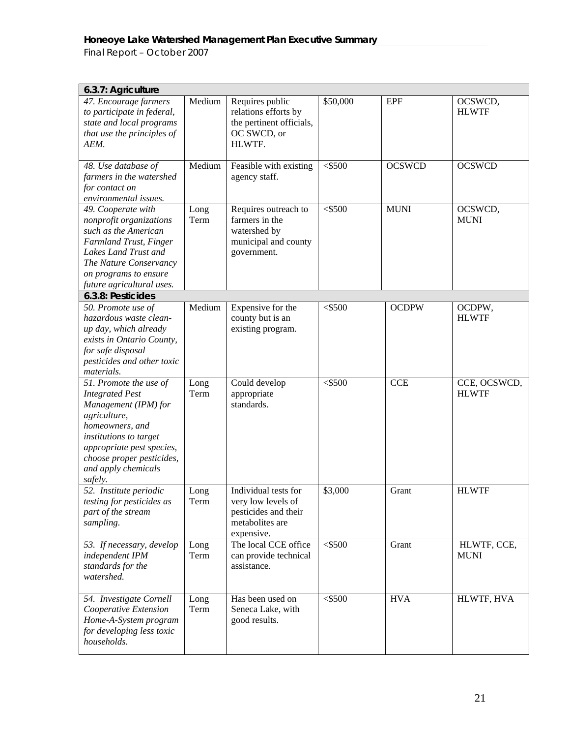| 6.3.7: Agriculture                                                                                                                                                                                                                |              |                                                                                                     |           |               |                              |
|-----------------------------------------------------------------------------------------------------------------------------------------------------------------------------------------------------------------------------------|--------------|-----------------------------------------------------------------------------------------------------|-----------|---------------|------------------------------|
| 47. Encourage farmers<br>to participate in federal,<br>state and local programs<br>that use the principles of<br>AEM.                                                                                                             | Medium       | Requires public<br>relations efforts by<br>the pertinent officials,<br>OC SWCD, or<br>HLWTF.        | \$50,000  | <b>EPF</b>    | OCSWCD,<br><b>HLWTF</b>      |
| 48. Use database of<br>farmers in the watershed<br>for contact on<br>environmental issues.                                                                                                                                        | Medium       | Feasible with existing<br>agency staff.                                                             | $<$ \$500 | <b>OCSWCD</b> | <b>OCSWCD</b>                |
| 49. Cooperate with<br>nonprofit organizations<br>such as the American<br>Farmland Trust, Finger<br>Lakes Land Trust and<br>The Nature Conservancy<br>on programs to ensure<br>future agricultural uses.                           | Long<br>Term | Requires outreach to<br>farmers in the<br>watershed by<br>municipal and county<br>government.       | $<$ \$500 | <b>MUNI</b>   | OCSWCD,<br><b>MUNI</b>       |
| 6.3.8: Pesticides                                                                                                                                                                                                                 |              |                                                                                                     |           |               |                              |
| 50. Promote use of<br>hazardous waste clean-<br>up day, which already<br>exists in Ontario County,<br>for safe disposal<br>pesticides and other toxic<br>materials.                                                               | Medium       | Expensive for the<br>county but is an<br>existing program.                                          | $<$ \$500 | <b>OCDPW</b>  | OCDPW,<br><b>HLWTF</b>       |
| 51. Promote the use of<br><b>Integrated Pest</b><br>Management (IPM) for<br>agriculture,<br>homeowners, and<br>institutions to target<br>appropriate pest species,<br>choose proper pesticides,<br>and apply chemicals<br>safely. | Long<br>Term | Could develop<br>appropriate<br>standards.                                                          | $<$ \$500 | <b>CCE</b>    | CCE, OCSWCD,<br><b>HLWTF</b> |
| 52. Institute periodic<br>testing for pesticides as<br>part of the stream<br>sampling.                                                                                                                                            | Long<br>Term | Individual tests for<br>very low levels of<br>pesticides and their<br>metabolites are<br>expensive. | \$3,000   | Grant         | <b>HLWTF</b>                 |
| 53. If necessary, develop<br>independent IPM<br>standards for the<br>watershed.                                                                                                                                                   | Long<br>Term | The local CCE office<br>can provide technical<br>assistance.                                        | $<$ \$500 | Grant         | HLWTF, CCE,<br><b>MUNI</b>   |
| 54. Investigate Cornell<br>Cooperative Extension<br>Home-A-System program<br>for developing less toxic<br>households.                                                                                                             | Long<br>Term | Has been used on<br>Seneca Lake, with<br>good results.                                              | $<$ \$500 | <b>HVA</b>    | HLWTF, HVA                   |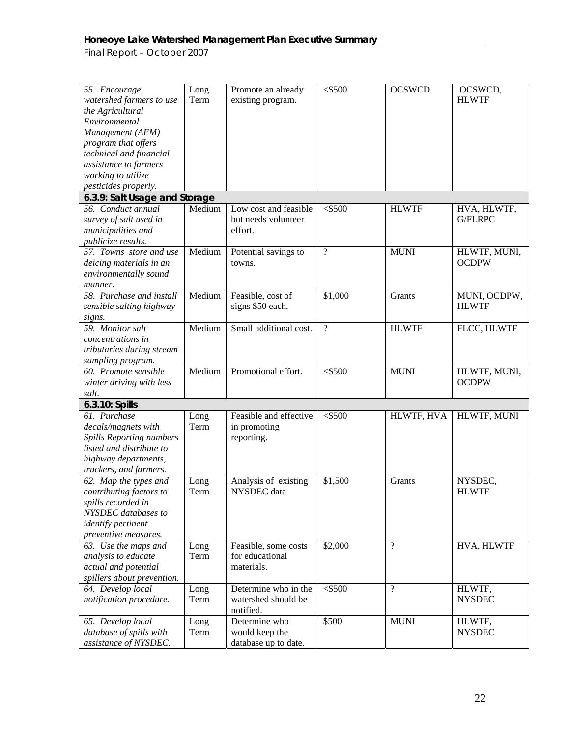| 55. Encourage<br>watershed farmers to use<br>the Agricultural<br>Environmental<br>Management (AEM)<br>program that offers<br>technical and financial<br>assistance to farmers<br>working to utilize<br>pesticides properly. | Long<br>Term | Promote an already<br>existing program.                  | $<$ \$500          | <b>OCSWCD</b>            | OCSWCD,<br><b>HLWTF</b>      |
|-----------------------------------------------------------------------------------------------------------------------------------------------------------------------------------------------------------------------------|--------------|----------------------------------------------------------|--------------------|--------------------------|------------------------------|
| 6.3.9: Salt Usage and Storage                                                                                                                                                                                               |              |                                                          |                    |                          |                              |
| 56. Conduct annual<br>survey of salt used in<br>municipalities and<br>publicize results.                                                                                                                                    | Medium       | Low cost and feasible<br>but needs volunteer<br>effort.  | $<$ \$500          | <b>HLWTF</b>             | HVA, HLWTF,<br>G/FLRPC       |
| 57. Towns store and use<br>deicing materials in an<br>environmentally sound<br>manner.                                                                                                                                      | Medium       | Potential savings to<br>towns.                           | $\overline{?}$     | <b>MUNI</b>              | HLWTF, MUNI,<br><b>OCDPW</b> |
| 58. Purchase and install<br>sensible salting highway<br>signs.                                                                                                                                                              | Medium       | Feasible, cost of<br>signs \$50 each.                    | \$1,000            | Grants                   | MUNI, OCDPW,<br><b>HLWTF</b> |
| 59. Monitor salt<br>concentrations in<br>tributaries during stream<br>sampling program.                                                                                                                                     | Medium       | Small additional cost.                                   | $\overline{\cdot}$ | <b>HLWTF</b>             | FLCC, HLWTF                  |
| 60. Promote sensible<br>winter driving with less<br>salt.                                                                                                                                                                   | Medium       | Promotional effort.                                      | $<$ \$500          | <b>MUNI</b>              | HLWTF, MUNI,<br><b>OCDPW</b> |
| 6.3.10: Spills                                                                                                                                                                                                              |              |                                                          |                    |                          |                              |
| 61. Purchase<br>decals/magnets with<br><b>Spills Reporting numbers</b><br>listed and distribute to<br>highway departments,<br>truckers, and farmers.                                                                        | Long<br>Term | Feasible and effective<br>in promoting<br>reporting.     | $<$ \$500          | HLWTF, HVA               | HLWTF, MUNI                  |
| 62. Map the types and<br>contributing factors to<br>spills recorded in<br>NYSDEC databases to<br>identify pertinent<br>preventive measures.                                                                                 | Long<br>Term | Analysis of existing<br>NYSDEC data                      | \$1,500            | Grants                   | NYSDEC,<br><b>HLWTF</b>      |
| 63. Use the maps and<br>analysis to educate<br>actual and potential<br>spillers about prevention.                                                                                                                           | Long<br>Term | Feasible, some costs<br>for educational<br>materials.    | \$2,000            | $\overline{\mathcal{L}}$ | HVA, HLWTF                   |
| 64. Develop local<br>notification procedure.                                                                                                                                                                                | Long<br>Term | Determine who in the<br>watershed should be<br>notified. | $<$ \$500          | $\overline{?}$           | HLWTF,<br><b>NYSDEC</b>      |
| 65. Develop local<br>database of spills with<br>assistance of NYSDEC.                                                                                                                                                       | Long<br>Term | Determine who<br>would keep the<br>database up to date.  | \$500              | <b>MUNI</b>              | HLWTF,<br><b>NYSDEC</b>      |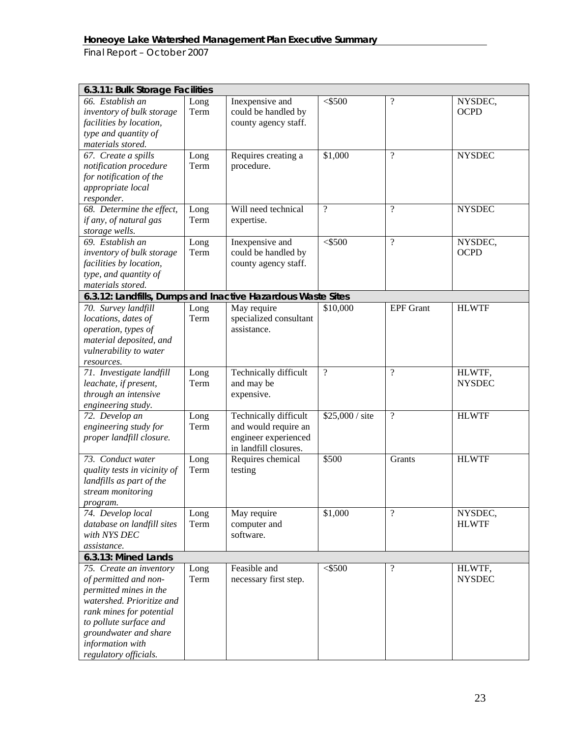| 6.3.11: Bulk Storage Facilities                             |      |                        |                 |                          |               |
|-------------------------------------------------------------|------|------------------------|-----------------|--------------------------|---------------|
| 66. Establish an                                            | Long | Inexpensive and        | $<$ \$500       | $\overline{\cdot}$       | NYSDEC,       |
| inventory of bulk storage                                   | Term | could be handled by    |                 |                          | <b>OCPD</b>   |
| facilities by location,                                     |      | county agency staff.   |                 |                          |               |
| type and quantity of                                        |      |                        |                 |                          |               |
| materials stored.                                           |      |                        |                 |                          |               |
| 67. Create a spills                                         | Long | Requires creating a    | \$1,000         | $\overline{?}$           | <b>NYSDEC</b> |
| notification procedure                                      | Term | procedure.             |                 |                          |               |
| for notification of the                                     |      |                        |                 |                          |               |
| appropriate local                                           |      |                        |                 |                          |               |
| responder.                                                  |      |                        |                 |                          |               |
| 68. Determine the effect,                                   | Long | Will need technical    | $\gamma$        | $\overline{\mathcal{L}}$ | <b>NYSDEC</b> |
| if any, of natural gas                                      | Term | expertise.             |                 |                          |               |
| storage wells.                                              |      |                        |                 |                          |               |
| 69. Establish an                                            | Long | Inexpensive and        | $<$ \$500       | $\overline{\mathcal{L}}$ | NYSDEC,       |
| inventory of bulk storage                                   | Term | could be handled by    |                 |                          | <b>OCPD</b>   |
| facilities by location,                                     |      | county agency staff.   |                 |                          |               |
| type, and quantity of                                       |      |                        |                 |                          |               |
| materials stored.                                           |      |                        |                 |                          |               |
| 6.3.12: Landfills, Dumps and Inactive Hazardous Waste Sites |      |                        |                 |                          |               |
| 70. Survey landfill                                         | Long | May require            | \$10,000        | <b>EPF</b> Grant         | <b>HLWTF</b>  |
| locations, dates of                                         | Term | specialized consultant |                 |                          |               |
| operation, types of                                         |      | assistance.            |                 |                          |               |
| material deposited, and                                     |      |                        |                 |                          |               |
| vulnerability to water                                      |      |                        |                 |                          |               |
| resources.                                                  |      |                        |                 |                          |               |
| 71. Investigate landfill                                    | Long | Technically difficult  | $\overline{?}$  | $\overline{\mathcal{L}}$ | HLWTF,        |
| leachate, if present,                                       | Term | and may be             |                 |                          | <b>NYSDEC</b> |
| through an intensive                                        |      | expensive.             |                 |                          |               |
| engineering study.                                          |      |                        |                 |                          |               |
| 72. Develop an                                              | Long | Technically difficult  | \$25,000 / site | $\overline{\mathcal{L}}$ | <b>HLWTF</b>  |
| engineering study for                                       | Term | and would require an   |                 |                          |               |
| proper landfill closure.                                    |      | engineer experienced   |                 |                          |               |
| 73. Conduct water                                           |      | in landfill closures.  | \$500           |                          | <b>HLWTF</b>  |
|                                                             | Long | Requires chemical      |                 | Grants                   |               |
| quality tests in vicinity of<br>landfills as part of the    | Term | testing                |                 |                          |               |
| stream monitoring                                           |      |                        |                 |                          |               |
|                                                             |      |                        |                 |                          |               |
| program.<br>74. Develop local                               | Long | May require            | \$1,000         | $\overline{\mathcal{L}}$ | NYSDEC,       |
| database on landfill sites                                  | Term | computer and           |                 |                          | <b>HLWTF</b>  |
| with NYS DEC                                                |      | software.              |                 |                          |               |
| assistance.                                                 |      |                        |                 |                          |               |
| 6.3.13: Mined Lands                                         |      |                        |                 |                          |               |
| 75. Create an inventory                                     | Long | Feasible and           | $<$ \$500       | $\overline{\cdot}$       | HLWTF,        |
| of permitted and non-                                       | Term | necessary first step.  |                 |                          | <b>NYSDEC</b> |
| permitted mines in the                                      |      |                        |                 |                          |               |
| watershed. Prioritize and                                   |      |                        |                 |                          |               |
| rank mines for potential                                    |      |                        |                 |                          |               |
| to pollute surface and                                      |      |                        |                 |                          |               |
| groundwater and share                                       |      |                        |                 |                          |               |
| information with                                            |      |                        |                 |                          |               |
| regulatory officials.                                       |      |                        |                 |                          |               |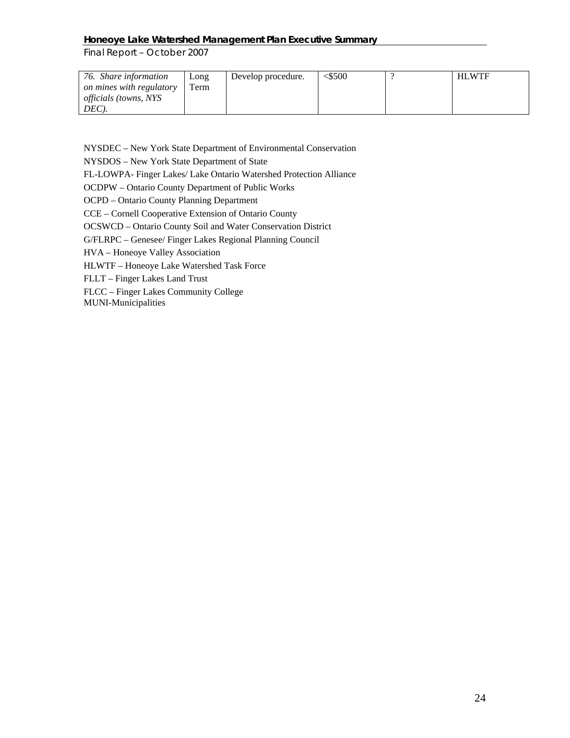*Final Report – October 2007* 

| 76. Share information        | Long | Develop procedure. | $<$ 500 | <b>HLWTF</b> |
|------------------------------|------|--------------------|---------|--------------|
| on mines with regulatory     | Term |                    |         |              |
| <i>officials (towns, NYS</i> |      |                    |         |              |
| $DEC$ ).                     |      |                    |         |              |

NYSDEC – New York State Department of Environmental Conservation

NYSDOS – New York State Department of State

FL-LOWPA- Finger Lakes/ Lake Ontario Watershed Protection Alliance

OCDPW – Ontario County Department of Public Works

OCPD – Ontario County Planning Department

CCE – Cornell Cooperative Extension of Ontario County

OCSWCD – Ontario County Soil and Water Conservation District

G/FLRPC – Genesee/ Finger Lakes Regional Planning Council

HVA – Honeoye Valley Association

HLWTF – Honeoye Lake Watershed Task Force

FLLT – Finger Lakes Land Trust

FLCC – Finger Lakes Community College

MUNI-Municipalities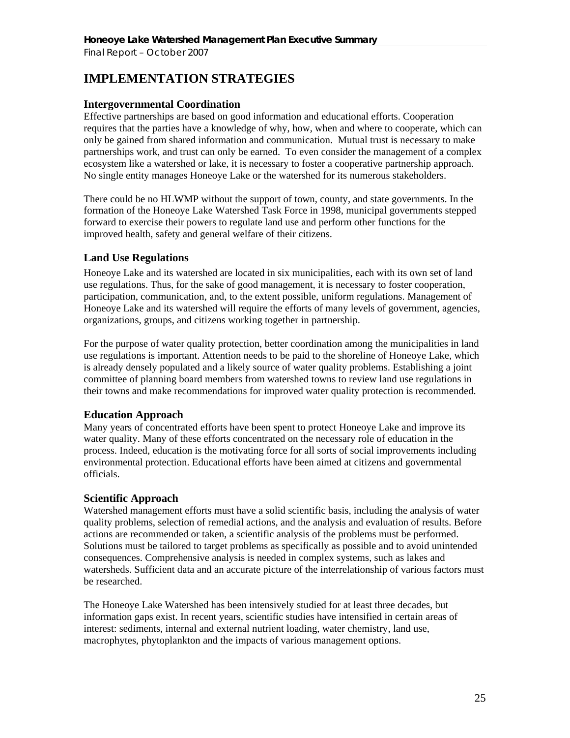# **IMPLEMENTATION STRATEGIES**

### **Intergovernmental Coordination**

Effective partnerships are based on good information and educational efforts. Cooperation requires that the parties have a knowledge of why, how, when and where to cooperate, which can only be gained from shared information and communication. Mutual trust is necessary to make partnerships work, and trust can only be earned. To even consider the management of a complex ecosystem like a watershed or lake, it is necessary to foster a cooperative partnership approach. No single entity manages Honeoye Lake or the watershed for its numerous stakeholders.

There could be no HLWMP without the support of town, county, and state governments. In the formation of the Honeoye Lake Watershed Task Force in 1998, municipal governments stepped forward to exercise their powers to regulate land use and perform other functions for the improved health, safety and general welfare of their citizens.

# **Land Use Regulations**

Honeoye Lake and its watershed are located in six municipalities, each with its own set of land use regulations. Thus, for the sake of good management, it is necessary to foster cooperation, participation, communication, and, to the extent possible, uniform regulations. Management of Honeoye Lake and its watershed will require the efforts of many levels of government, agencies, organizations, groups, and citizens working together in partnership.

For the purpose of water quality protection, better coordination among the municipalities in land use regulations is important. Attention needs to be paid to the shoreline of Honeoye Lake, which is already densely populated and a likely source of water quality problems. Establishing a joint committee of planning board members from watershed towns to review land use regulations in their towns and make recommendations for improved water quality protection is recommended.

# **Education Approach**

Many years of concentrated efforts have been spent to protect Honeoye Lake and improve its water quality. Many of these efforts concentrated on the necessary role of education in the process. Indeed, education is the motivating force for all sorts of social improvements including environmental protection. Educational efforts have been aimed at citizens and governmental officials.

### **Scientific Approach**

Watershed management efforts must have a solid scientific basis, including the analysis of water quality problems, selection of remedial actions, and the analysis and evaluation of results. Before actions are recommended or taken, a scientific analysis of the problems must be performed. Solutions must be tailored to target problems as specifically as possible and to avoid unintended consequences. Comprehensive analysis is needed in complex systems, such as lakes and watersheds. Sufficient data and an accurate picture of the interrelationship of various factors must be researched.

The Honeoye Lake Watershed has been intensively studied for at least three decades, but information gaps exist. In recent years, scientific studies have intensified in certain areas of interest: sediments, internal and external nutrient loading, water chemistry, land use, macrophytes, phytoplankton and the impacts of various management options.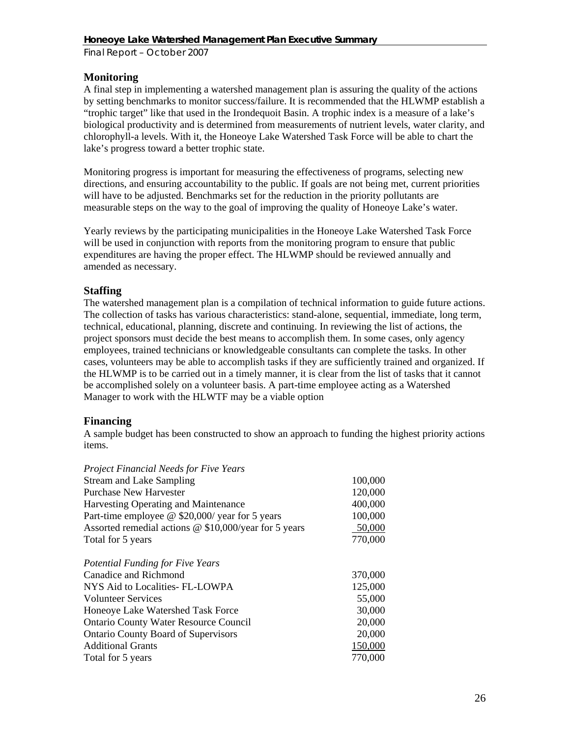# **Monitoring**

A final step in implementing a watershed management plan is assuring the quality of the actions by setting benchmarks to monitor success/failure. It is recommended that the HLWMP establish a "trophic target" like that used in the Irondequoit Basin. A trophic index is a measure of a lake's biological productivity and is determined from measurements of nutrient levels, water clarity, and chlorophyll-a levels. With it, the Honeoye Lake Watershed Task Force will be able to chart the lake's progress toward a better trophic state.

Monitoring progress is important for measuring the effectiveness of programs, selecting new directions, and ensuring accountability to the public. If goals are not being met, current priorities will have to be adjusted. Benchmarks set for the reduction in the priority pollutants are measurable steps on the way to the goal of improving the quality of Honeoye Lake's water.

Yearly reviews by the participating municipalities in the Honeoye Lake Watershed Task Force will be used in conjunction with reports from the monitoring program to ensure that public expenditures are having the proper effect. The HLWMP should be reviewed annually and amended as necessary.

# **Staffing**

The watershed management plan is a compilation of technical information to guide future actions. The collection of tasks has various characteristics: stand-alone, sequential, immediate, long term, technical, educational, planning, discrete and continuing. In reviewing the list of actions, the project sponsors must decide the best means to accomplish them. In some cases, only agency employees, trained technicians or knowledgeable consultants can complete the tasks. In other cases, volunteers may be able to accomplish tasks if they are sufficiently trained and organized. If the HLWMP is to be carried out in a timely manner, it is clear from the list of tasks that it cannot be accomplished solely on a volunteer basis. A part-time employee acting as a Watershed Manager to work with the HLWTF may be a viable option

# **Financing**

A sample budget has been constructed to show an approach to funding the highest priority actions items.

| 100,000 |
|---------|
| 120,000 |
| 400,000 |
| 100,000 |
| 50,000  |
| 770,000 |
|         |
| 370,000 |
| 125,000 |
| 55,000  |
| 30,000  |
| 20,000  |
| 20,000  |
| 150,000 |
| 770,000 |
|         |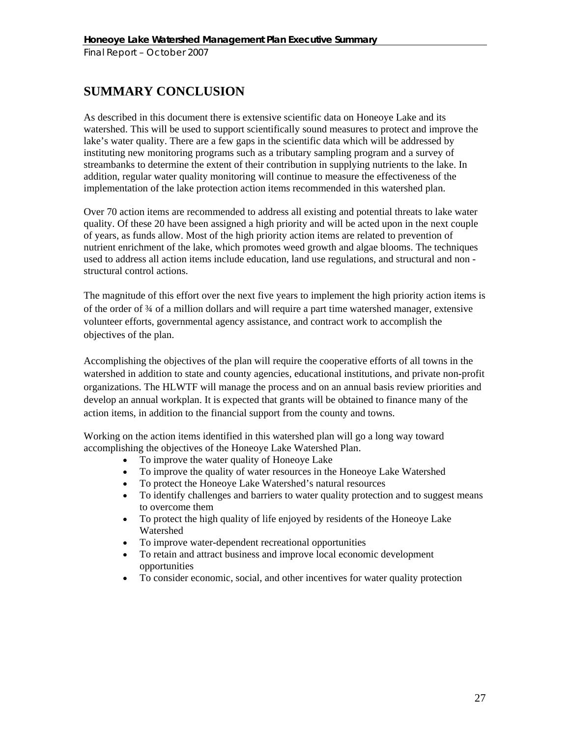# **SUMMARY CONCLUSION**

As described in this document there is extensive scientific data on Honeoye Lake and its watershed. This will be used to support scientifically sound measures to protect and improve the lake's water quality. There are a few gaps in the scientific data which will be addressed by instituting new monitoring programs such as a tributary sampling program and a survey of streambanks to determine the extent of their contribution in supplying nutrients to the lake. In addition, regular water quality monitoring will continue to measure the effectiveness of the implementation of the lake protection action items recommended in this watershed plan.

Over 70 action items are recommended to address all existing and potential threats to lake water quality. Of these 20 have been assigned a high priority and will be acted upon in the next couple of years, as funds allow. Most of the high priority action items are related to prevention of nutrient enrichment of the lake, which promotes weed growth and algae blooms. The techniques used to address all action items include education, land use regulations, and structural and non structural control actions.

The magnitude of this effort over the next five years to implement the high priority action items is of the order of ¾ of a million dollars and will require a part time watershed manager, extensive volunteer efforts, governmental agency assistance, and contract work to accomplish the objectives of the plan.

Accomplishing the objectives of the plan will require the cooperative efforts of all towns in the watershed in addition to state and county agencies, educational institutions, and private non-profit organizations. The HLWTF will manage the process and on an annual basis review priorities and develop an annual workplan. It is expected that grants will be obtained to finance many of the action items, in addition to the financial support from the county and towns.

Working on the action items identified in this watershed plan will go a long way toward accomplishing the objectives of the Honeoye Lake Watershed Plan.

- To improve the water quality of Honeoye Lake
- To improve the quality of water resources in the Honeoye Lake Watershed
- To protect the Honeoye Lake Watershed's natural resources
- To identify challenges and barriers to water quality protection and to suggest means to overcome them
- To protect the high quality of life enjoyed by residents of the Honeoye Lake Watershed
- To improve water-dependent recreational opportunities
- To retain and attract business and improve local economic development opportunities
- To consider economic, social, and other incentives for water quality protection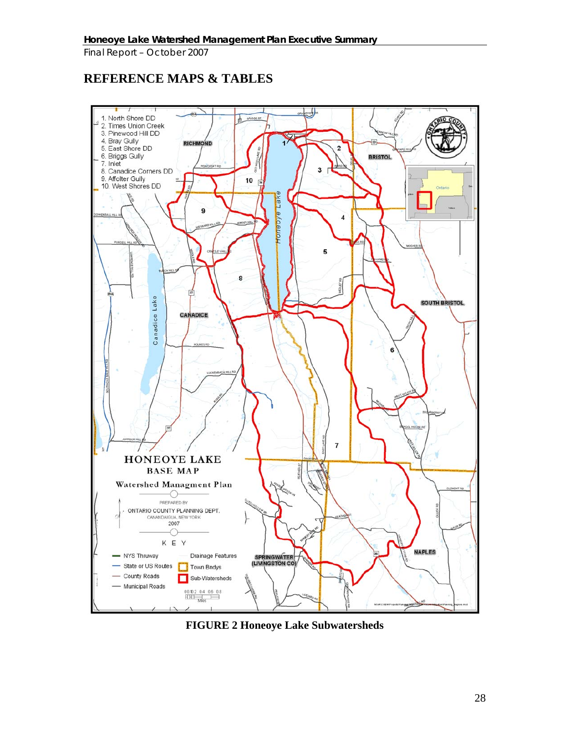# **REFERENCE MAPS & TABLES**



**FIGURE 2 Honeoye Lake Subwatersheds**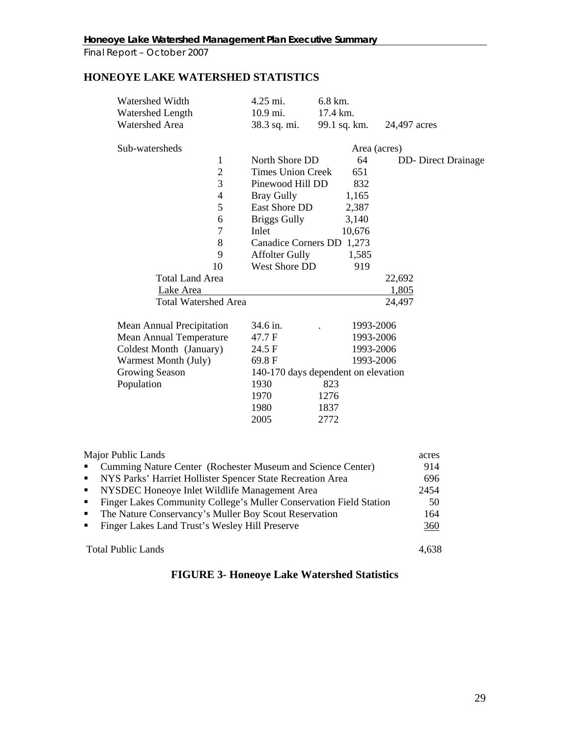# **HONEOYE LAKE WATERSHED STATISTICS**

| Watershed Width                  | 4.25 mi.                            | 6.8 km.<br>17.4 km. |              |                            |
|----------------------------------|-------------------------------------|---------------------|--------------|----------------------------|
| Watershed Length                 | 10.9 mi.                            |                     |              |                            |
| Watershed Area                   | 38.3 sq. mi.                        | 99.1 sq. km.        |              | 24,497 acres               |
| Sub-watersheds                   |                                     |                     | Area (acres) |                            |
| $\mathbf{1}$                     | North Shore DD                      |                     | 64           | <b>DD-</b> Direct Drainage |
| $\overline{2}$                   | <b>Times Union Creek</b>            |                     | 651          |                            |
| 3                                | Pinewood Hill DD                    |                     | 832          |                            |
| $\overline{4}$                   | <b>Bray Gully</b>                   |                     | 1,165        |                            |
| 5                                | East Shore DD                       |                     | 2,387        |                            |
| 6                                | <b>Briggs Gully</b>                 |                     | 3,140        |                            |
| 7                                | Inlet                               |                     | 10,676       |                            |
| 8                                | <b>Canadice Corners DD</b>          |                     | 1,273        |                            |
| 9                                | <b>Affolter Gully</b>               |                     | 1,585        |                            |
| 10                               | West Shore DD                       |                     | 919          |                            |
| <b>Total Land Area</b>           |                                     |                     |              | 22,692                     |
| Lake Area                        |                                     |                     |              | 1,805                      |
| <b>Total Watershed Area</b>      |                                     |                     |              | 24,497                     |
|                                  |                                     |                     |              |                            |
| <b>Mean Annual Precipitation</b> | 34.6 in.                            |                     | 1993-2006    |                            |
| <b>Mean Annual Temperature</b>   | 47.7 F                              |                     | 1993-2006    |                            |
| Coldest Month (January)          | 24.5 F                              |                     | 1993-2006    |                            |
| Warmest Month (July)             | 69.8F                               |                     | 1993-2006    |                            |
| Growing Season                   | 140-170 days dependent on elevation |                     |              |                            |
| Population                       | 1930                                | 823                 |              |                            |
|                                  | 1970                                | 1276                |              |                            |
|                                  | 1980                                | 1837                |              |                            |
|                                  | 2005                                | 2772                |              |                            |
|                                  |                                     |                     |              |                            |
|                                  |                                     |                     |              |                            |

| Major Public Lands                                                                 | acres |
|------------------------------------------------------------------------------------|-------|
| Cumming Nature Center (Rochester Museum and Science Center)                        | 914   |
| NYS Parks' Harriet Hollister Spencer State Recreation Area<br>$\blacksquare$       | 696   |
| NYSDEC Honeoye Inlet Wildlife Management Area<br>$\mathbf{R}$                      | 2454  |
| Finger Lakes Community College's Muller Conservation Field Station<br>$\mathbf{r}$ | -50   |
| The Nature Conservancy's Muller Boy Scout Reservation<br>$\mathbf{u}$              | 164   |
| Finger Lakes Land Trust's Wesley Hill Preserve                                     | 360   |
| <b>Total Public Lands</b>                                                          |       |

# **FIGURE 3- Honeoye Lake Watershed Statistics**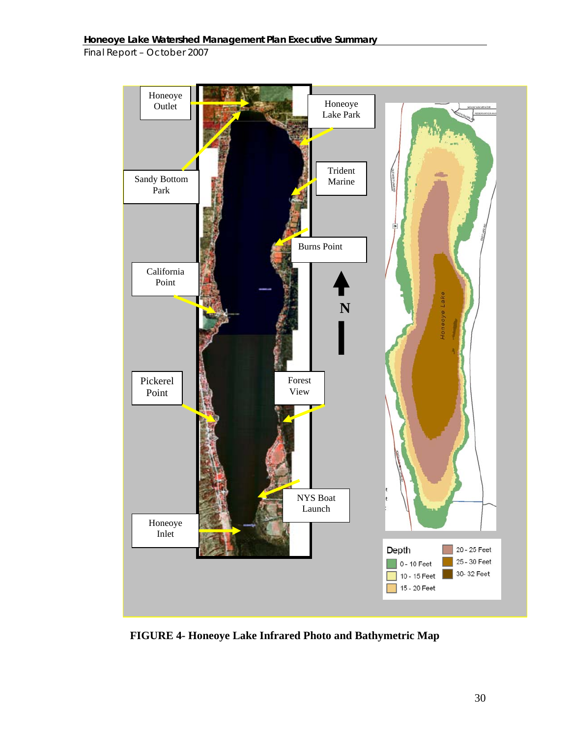

**FIGURE 4- Honeoye Lake Infrared Photo and Bathymetric Map**